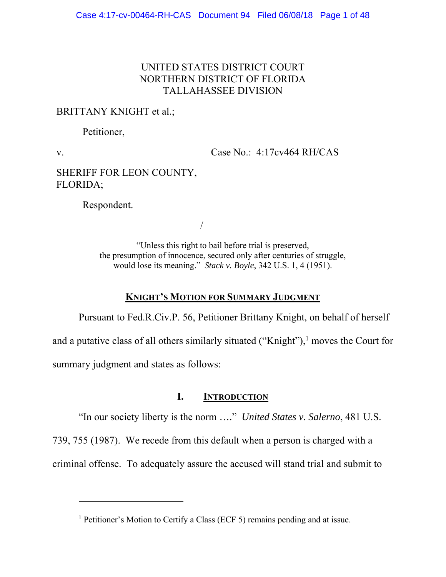## UNITED STATES DISTRICT COURT NORTHERN DISTRICT OF FLORIDA TALLAHASSEE DIVISION

# BRITTANY KNIGHT et al.;

Petitioner,

v.

Case No.: 4:17cv464 RH/CAS

SHERIFF FOR LEON COUNTY, FLORIDA;

Respondent.

 $\overline{a}$ 

/

"Unless this right to bail before trial is preserved, the presumption of innocence, secured only after centuries of struggle, would lose its meaning." *Stack v. Boyle*, 342 U.S. 1, 4 (1951).

## **KNIGHT'S MOTION FOR SUMMARY JUDGMENT**

Pursuant to Fed.R.Civ.P. 56, Petitioner Brittany Knight, on behalf of herself and a putative class of all others similarly situated ("Knight"), $1$  moves the Court for summary judgment and states as follows:

## **I. INTRODUCTION**

"In our society liberty is the norm …." *United States v. Salerno*, 481 U.S.

739, 755 (1987). We recede from this default when a person is charged with a

criminal offense. To adequately assure the accused will stand trial and submit to

<sup>&</sup>lt;sup>1</sup> Petitioner's Motion to Certify a Class (ECF 5) remains pending and at issue.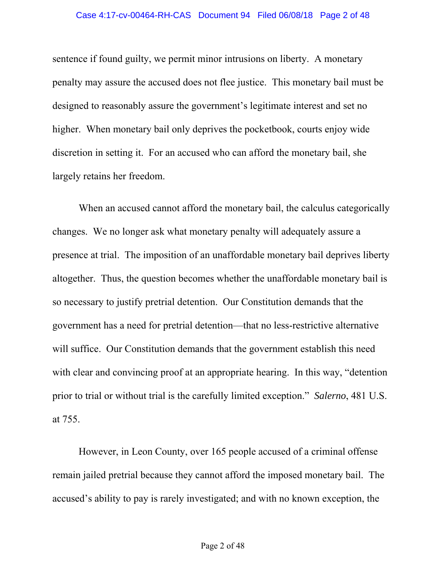sentence if found guilty, we permit minor intrusions on liberty. A monetary penalty may assure the accused does not flee justice. This monetary bail must be designed to reasonably assure the government's legitimate interest and set no higher. When monetary bail only deprives the pocketbook, courts enjoy wide discretion in setting it. For an accused who can afford the monetary bail, she largely retains her freedom.

When an accused cannot afford the monetary bail, the calculus categorically changes. We no longer ask what monetary penalty will adequately assure a presence at trial. The imposition of an unaffordable monetary bail deprives liberty altogether. Thus, the question becomes whether the unaffordable monetary bail is so necessary to justify pretrial detention. Our Constitution demands that the government has a need for pretrial detention—that no less-restrictive alternative will suffice. Our Constitution demands that the government establish this need with clear and convincing proof at an appropriate hearing. In this way, "detention" prior to trial or without trial is the carefully limited exception." *Salerno*, 481 U.S. at 755.

However, in Leon County, over 165 people accused of a criminal offense remain jailed pretrial because they cannot afford the imposed monetary bail. The accused's ability to pay is rarely investigated; and with no known exception, the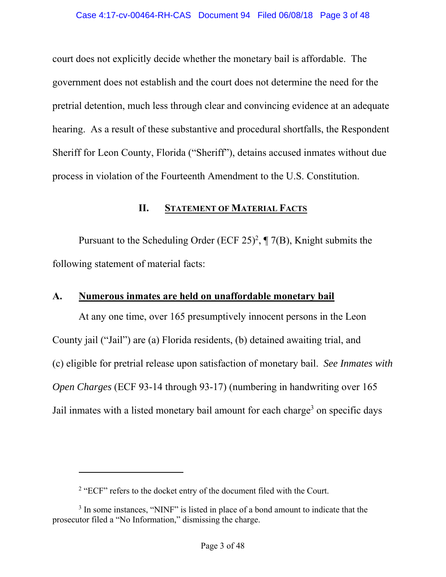court does not explicitly decide whether the monetary bail is affordable. The government does not establish and the court does not determine the need for the pretrial detention, much less through clear and convincing evidence at an adequate hearing. As a result of these substantive and procedural shortfalls, the Respondent Sheriff for Leon County, Florida ("Sheriff"), detains accused inmates without due process in violation of the Fourteenth Amendment to the U.S. Constitution.

### **II. STATEMENT OF MATERIAL FACTS**

Pursuant to the Scheduling Order (ECF 25)<sup>2</sup>,  $\P$  7(B), Knight submits the following statement of material facts:

## **A. Numerous inmates are held on unaffordable monetary bail**

At any one time, over 165 presumptively innocent persons in the Leon County jail ("Jail") are (a) Florida residents, (b) detained awaiting trial, and (c) eligible for pretrial release upon satisfaction of monetary bail. *See Inmates with Open Charges* (ECF 93-14 through 93-17) (numbering in handwriting over 165 Jail inmates with a listed monetary bail amount for each charge<sup>3</sup> on specific days

 $2$  "ECF" refers to the docket entry of the document filed with the Court.

<sup>&</sup>lt;sup>3</sup> In some instances, "NINF" is listed in place of a bond amount to indicate that the prosecutor filed a "No Information," dismissing the charge.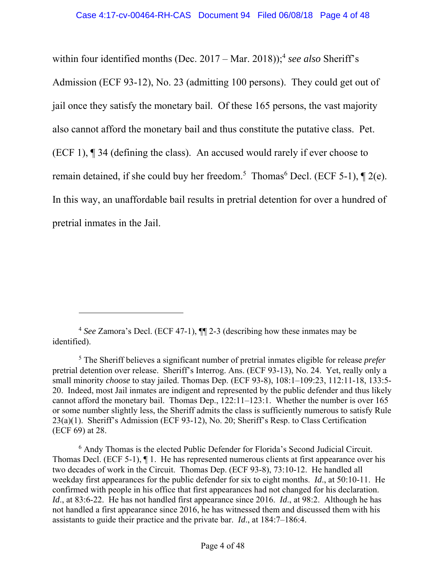within four identified months (Dec. 2017 – Mar. 2018));<sup>4</sup> see also Sheriff's Admission (ECF 93-12), No. 23 (admitting 100 persons). They could get out of jail once they satisfy the monetary bail. Of these 165 persons, the vast majority also cannot afford the monetary bail and thus constitute the putative class. Pet. (ECF 1), ¶ 34 (defining the class). An accused would rarely if ever choose to remain detained, if she could buy her freedom.<sup>5</sup> Thomas<sup>6</sup> Decl. (ECF 5-1),  $\P$  2(e). In this way, an unaffordable bail results in pretrial detention for over a hundred of pretrial inmates in the Jail.

-

<sup>6</sup> Andy Thomas is the elected Public Defender for Florida's Second Judicial Circuit. Thomas Decl. (ECF 5-1), ¶ 1. He has represented numerous clients at first appearance over his two decades of work in the Circuit. Thomas Dep. (ECF 93-8), 73:10-12. He handled all weekday first appearances for the public defender for six to eight months. *Id*., at 50:10-11. He confirmed with people in his office that first appearances had not changed for his declaration. *Id*., at 83:6-22. He has not handled first appearance since 2016. *Id*., at 98:2. Although he has not handled a first appearance since 2016, he has witnessed them and discussed them with his assistants to guide their practice and the private bar. *Id*., at 184:7–186:4.

<sup>4</sup> *See* Zamora's Decl. (ECF 47-1), ¶¶ 2-3 (describing how these inmates may be identified).

<sup>5</sup> The Sheriff believes a significant number of pretrial inmates eligible for release *prefer* pretrial detention over release. Sheriff's Interrog. Ans. (ECF 93-13), No. 24. Yet, really only a small minority *choose* to stay jailed. Thomas Dep. (ECF 93-8), 108:1–109:23, 112:11-18, 133:5- 20. Indeed, most Jail inmates are indigent and represented by the public defender and thus likely cannot afford the monetary bail. Thomas Dep., 122:11–123:1. Whether the number is over 165 or some number slightly less, the Sheriff admits the class is sufficiently numerous to satisfy Rule 23(a)(1). Sheriff's Admission (ECF 93-12), No. 20; Sheriff's Resp. to Class Certification (ECF 69) at 28.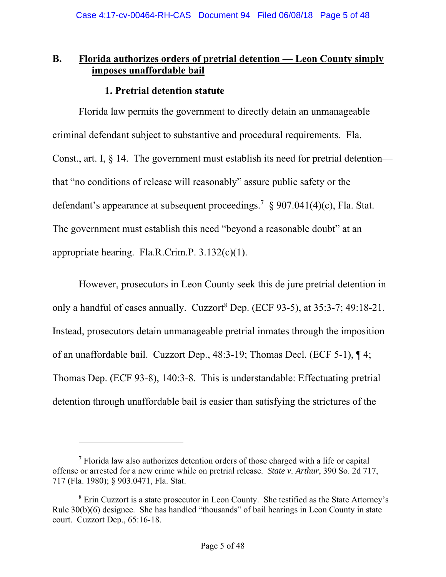# **B. Florida authorizes orders of pretrial detention — Leon County simply imposes unaffordable bail**

## **1. Pretrial detention statute**

Florida law permits the government to directly detain an unmanageable criminal defendant subject to substantive and procedural requirements. Fla. Const., art. I, § 14. The government must establish its need for pretrial detention that "no conditions of release will reasonably" assure public safety or the defendant's appearance at subsequent proceedings.<sup>7</sup> § 907.041(4)(c), Fla. Stat. The government must establish this need "beyond a reasonable doubt" at an appropriate hearing. Fla.R.Crim.P. 3.132(c)(1).

However, prosecutors in Leon County seek this de jure pretrial detention in only a handful of cases annually. Cuzzort<sup>8</sup> Dep. (ECF 93-5), at  $35:3-7$ ; 49:18-21. Instead, prosecutors detain unmanageable pretrial inmates through the imposition of an unaffordable bail. Cuzzort Dep., 48:3-19; Thomas Decl. (ECF 5-1), ¶ 4; Thomas Dep. (ECF 93-8), 140:3-8. This is understandable: Effectuating pretrial detention through unaffordable bail is easier than satisfying the strictures of the

 $7$  Florida law also authorizes detention orders of those charged with a life or capital offense or arrested for a new crime while on pretrial release. *State v. Arthur*, 390 So. 2d 717, 717 (Fla. 1980); § 903.0471, Fla. Stat.

<sup>&</sup>lt;sup>8</sup> Erin Cuzzort is a state prosecutor in Leon County. She testified as the State Attorney's Rule 30(b)(6) designee. She has handled "thousands" of bail hearings in Leon County in state court. Cuzzort Dep., 65:16-18.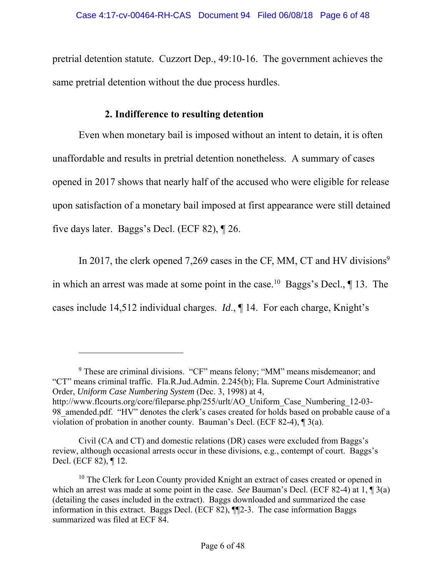pretrial detention statute. Cuzzort Dep., 49:10-16. The government achieves the same pretrial detention without the due process hurdles.

## **2. Indifference to resulting detention**

Even when monetary bail is imposed without an intent to detain, it is often unaffordable and results in pretrial detention nonetheless. A summary of cases opened in 2017 shows that nearly half of the accused who were eligible for release upon satisfaction of a monetary bail imposed at first appearance were still detained five days later. Baggs's Decl. (ECF 82), ¶ 26.

In 2017, the clerk opened 7,269 cases in the CF, MM, CT and HV divisions<sup>9</sup> in which an arrest was made at some point in the case.<sup>10</sup> Baggs's Decl.,  $\P$  13. The cases include 14,512 individual charges. *Id*., ¶ 14. For each charge, Knight's

<sup>&</sup>lt;sup>9</sup> These are criminal divisions. "CF" means felony; "MM" means misdemeanor; and "CT" means criminal traffic. Fla.R.Jud.Admin. 2.245(b); Fla. Supreme Court Administrative Order, *Uniform Case Numbering System* (Dec. 3, 1998) at 4, http://www.flcourts.org/core/fileparse.php/255/urlt/AO\_Uniform\_Case\_Numbering\_12-03-98 amended.pdf. "HV" denotes the clerk's cases created for holds based on probable cause of a violation of probation in another county. Bauman's Decl. (ECF 82-4), ¶ 3(a).

Civil (CA and CT) and domestic relations (DR) cases were excluded from Baggs's review, although occasional arrests occur in these divisions, e.g., contempt of court. Baggs's Decl. (ECF 82), ¶ 12.

 $10$  The Clerk for Leon County provided Knight an extract of cases created or opened in which an arrest was made at some point in the case. *See* Bauman's Decl. (ECF 82-4) at 1, ¶ 3(a) (detailing the cases included in the extract). Baggs downloaded and summarized the case information in this extract. Baggs Decl. (ECF 82), ¶¶2-3. The case information Baggs summarized was filed at ECF 84.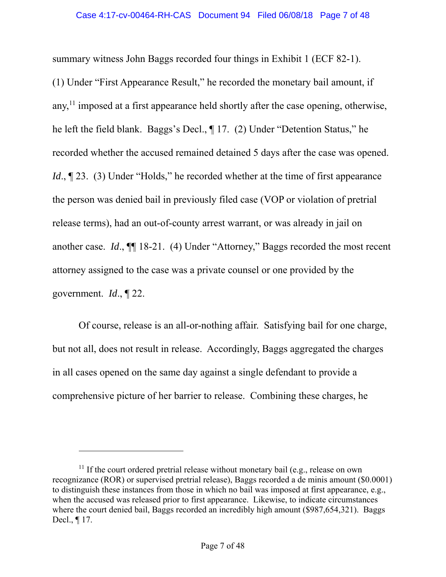summary witness John Baggs recorded four things in Exhibit 1 (ECF 82-1). (1) Under "First Appearance Result," he recorded the monetary bail amount, if any, $^{11}$  imposed at a first appearance held shortly after the case opening, otherwise, he left the field blank. Baggs's Decl., ¶ 17. (2) Under "Detention Status," he recorded whether the accused remained detained 5 days after the case was opened. *Id.*, 123. (3) Under "Holds," he recorded whether at the time of first appearance the person was denied bail in previously filed case (VOP or violation of pretrial release terms), had an out-of-county arrest warrant, or was already in jail on another case. *Id*., ¶¶ 18-21. (4) Under "Attorney," Baggs recorded the most recent attorney assigned to the case was a private counsel or one provided by the government. *Id*., ¶ 22.

Of course, release is an all-or-nothing affair. Satisfying bail for one charge, but not all, does not result in release. Accordingly, Baggs aggregated the charges in all cases opened on the same day against a single defendant to provide a comprehensive picture of her barrier to release. Combining these charges, he

 $11$  If the court ordered pretrial release without monetary bail (e.g., release on own recognizance (ROR) or supervised pretrial release), Baggs recorded a de minis amount (\$0.0001) to distinguish these instances from those in which no bail was imposed at first appearance, e.g., when the accused was released prior to first appearance. Likewise, to indicate circumstances where the court denied bail, Baggs recorded an incredibly high amount (\$987,654,321). Baggs Decl., ¶ 17.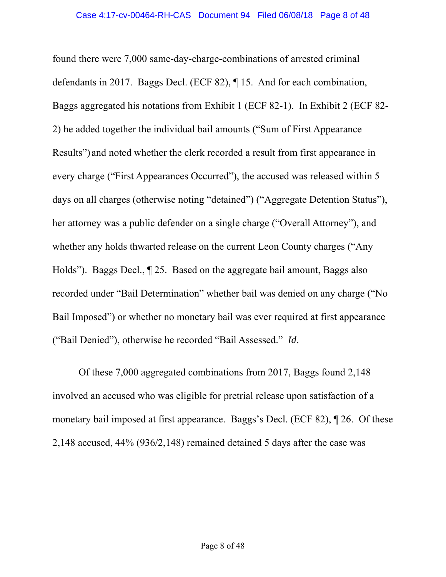found there were 7,000 same-day-charge-combinations of arrested criminal defendants in 2017. Baggs Decl. (ECF 82), ¶ 15. And for each combination, Baggs aggregated his notations from Exhibit 1 (ECF 82-1). In Exhibit 2 (ECF 82- 2) he added together the individual bail amounts ("Sum of First Appearance Results") and noted whether the clerk recorded a result from first appearance in every charge ("First Appearances Occurred"), the accused was released within 5 days on all charges (otherwise noting "detained") ("Aggregate Detention Status"), her attorney was a public defender on a single charge ("Overall Attorney"), and whether any holds thwarted release on the current Leon County charges ("Any Holds"). Baggs Decl., ¶ 25. Based on the aggregate bail amount, Baggs also recorded under "Bail Determination" whether bail was denied on any charge ("No Bail Imposed") or whether no monetary bail was ever required at first appearance ("Bail Denied"), otherwise he recorded "Bail Assessed." *Id*.

Of these 7,000 aggregated combinations from 2017, Baggs found 2,148 involved an accused who was eligible for pretrial release upon satisfaction of a monetary bail imposed at first appearance. Baggs's Decl. (ECF 82), ¶ 26. Of these 2,148 accused, 44% (936/2,148) remained detained 5 days after the case was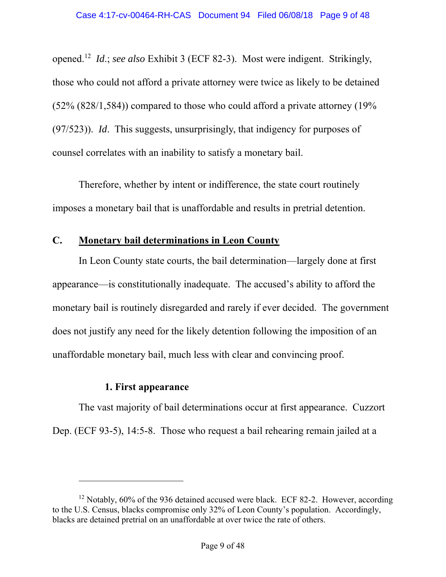opened.12 *Id*.; *see also* Exhibit 3 (ECF 82-3). Most were indigent. Strikingly, those who could not afford a private attorney were twice as likely to be detained  $(52\% (828/1, 584))$  compared to those who could afford a private attorney  $(19\%$ (97/523)). *Id*. This suggests, unsurprisingly, that indigency for purposes of counsel correlates with an inability to satisfy a monetary bail.

Therefore, whether by intent or indifference, the state court routinely imposes a monetary bail that is unaffordable and results in pretrial detention.

### **C. Monetary bail determinations in Leon County**

In Leon County state courts, the bail determination—largely done at first appearance—is constitutionally inadequate. The accused's ability to afford the monetary bail is routinely disregarded and rarely if ever decided. The government does not justify any need for the likely detention following the imposition of an unaffordable monetary bail, much less with clear and convincing proof.

### **1. First appearance**

 $\overline{a}$ 

The vast majority of bail determinations occur at first appearance. Cuzzort Dep. (ECF 93-5), 14:5-8. Those who request a bail rehearing remain jailed at a

<sup>&</sup>lt;sup>12</sup> Notably, 60% of the 936 detained accused were black. ECF 82-2. However, according to the U.S. Census, blacks compromise only 32% of Leon County's population. Accordingly, blacks are detained pretrial on an unaffordable at over twice the rate of others.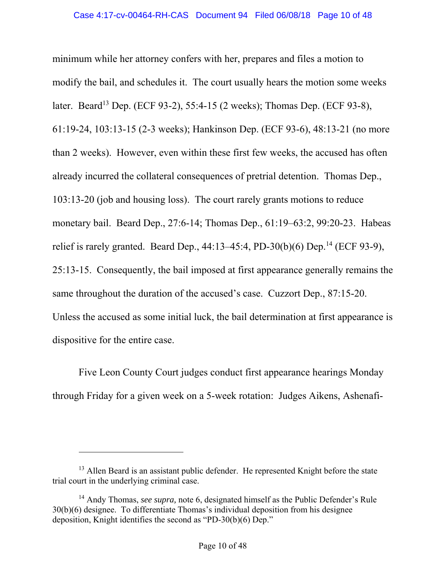minimum while her attorney confers with her, prepares and files a motion to modify the bail, and schedules it. The court usually hears the motion some weeks later. Beard<sup>13</sup> Dep. (ECF 93-2), 55:4-15 (2 weeks); Thomas Dep. (ECF 93-8), 61:19-24, 103:13-15 (2-3 weeks); Hankinson Dep. (ECF 93-6), 48:13-21 (no more than 2 weeks). However, even within these first few weeks, the accused has often already incurred the collateral consequences of pretrial detention. Thomas Dep., 103:13-20 (job and housing loss). The court rarely grants motions to reduce monetary bail. Beard Dep., 27:6-14; Thomas Dep., 61:19–63:2, 99:20-23. Habeas relief is rarely granted. Beard Dep.,  $44:13-45:4$ , PD-30(b)(6) Dep.<sup>14</sup> (ECF 93-9), 25:13-15. Consequently, the bail imposed at first appearance generally remains the same throughout the duration of the accused's case. Cuzzort Dep., 87:15-20. Unless the accused as some initial luck, the bail determination at first appearance is dispositive for the entire case.

Five Leon County Court judges conduct first appearance hearings Monday through Friday for a given week on a 5-week rotation: Judges Aikens, Ashenafi-

l

<sup>&</sup>lt;sup>13</sup> Allen Beard is an assistant public defender. He represented Knight before the state trial court in the underlying criminal case.

<sup>14</sup> Andy Thomas, *see supra,* note 6, designated himself as the Public Defender's Rule 30(b)(6) designee. To differentiate Thomas's individual deposition from his designee deposition, Knight identifies the second as "PD-30(b)(6) Dep."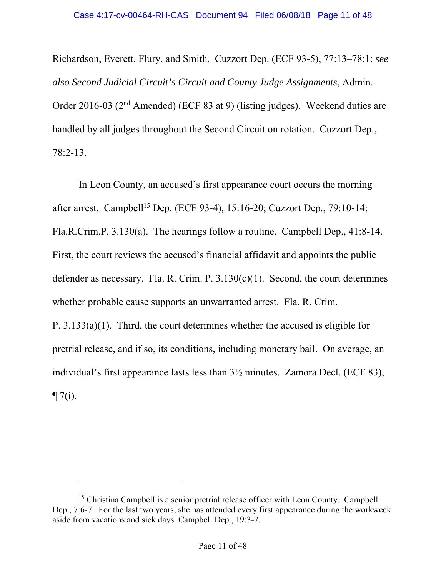Richardson, Everett, Flury, and Smith. Cuzzort Dep. (ECF 93-5), 77:13–78:1; *see also Second Judicial Circuit's Circuit and County Judge Assignments*, Admin. Order 2016-03 (2nd Amended) (ECF 83 at 9) (listing judges). Weekend duties are handled by all judges throughout the Second Circuit on rotation. Cuzzort Dep., 78:2-13.

In Leon County, an accused's first appearance court occurs the morning after arrest. Campbell<sup>15</sup> Dep. (ECF 93-4), 15:16-20; Cuzzort Dep., 79:10-14; Fla.R.Crim.P. 3.130(a). The hearings follow a routine. Campbell Dep., 41:8-14. First, the court reviews the accused's financial affidavit and appoints the public defender as necessary. Fla. R. Crim. P.  $3.130(c)(1)$ . Second, the court determines whether probable cause supports an unwarranted arrest. Fla. R. Crim. P. 3.133(a)(1). Third, the court determines whether the accused is eligible for pretrial release, and if so, its conditions, including monetary bail. On average, an individual's first appearance lasts less than 3½ minutes. Zamora Decl. (ECF 83),  $\P 7(i)$ .

<sup>&</sup>lt;sup>15</sup> Christina Campbell is a senior pretrial release officer with Leon County. Campbell Dep., 7:6-7. For the last two years, she has attended every first appearance during the workweek aside from vacations and sick days. Campbell Dep., 19:3-7.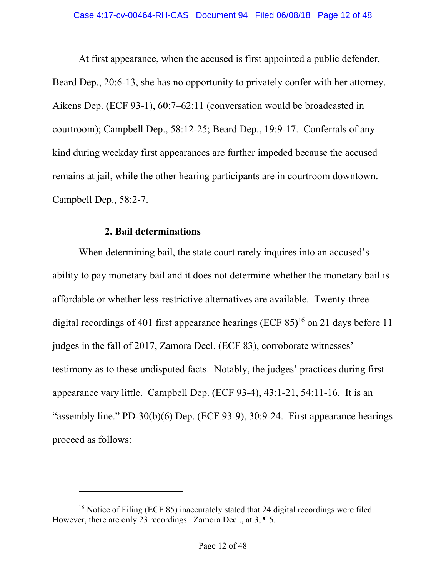At first appearance, when the accused is first appointed a public defender, Beard Dep., 20:6-13, she has no opportunity to privately confer with her attorney. Aikens Dep. (ECF 93-1), 60:7–62:11 (conversation would be broadcasted in courtroom); Campbell Dep., 58:12-25; Beard Dep., 19:9-17. Conferrals of any kind during weekday first appearances are further impeded because the accused remains at jail, while the other hearing participants are in courtroom downtown. Campbell Dep., 58:2-7.

### **2. Bail determinations**

 $\overline{a}$ 

When determining bail, the state court rarely inquires into an accused's ability to pay monetary bail and it does not determine whether the monetary bail is affordable or whether less-restrictive alternatives are available. Twenty-three digital recordings of 401 first appearance hearings (ECF  $85$ )<sup>16</sup> on 21 days before 11 judges in the fall of 2017, Zamora Decl. (ECF 83), corroborate witnesses' testimony as to these undisputed facts. Notably, the judges' practices during first appearance vary little. Campbell Dep. (ECF 93-4), 43:1-21, 54:11-16. It is an "assembly line." PD-30(b)(6) Dep. (ECF 93-9), 30:9-24. First appearance hearings proceed as follows:

<sup>&</sup>lt;sup>16</sup> Notice of Filing (ECF 85) inaccurately stated that 24 digital recordings were filed. However, there are only 23 recordings. Zamora Decl., at 3, ¶ 5.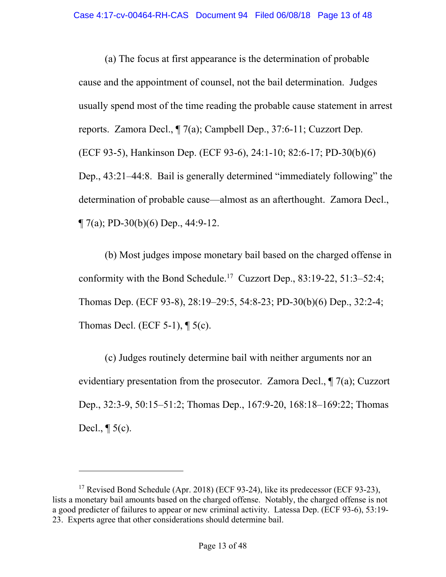(a) The focus at first appearance is the determination of probable cause and the appointment of counsel, not the bail determination. Judges usually spend most of the time reading the probable cause statement in arrest reports. Zamora Decl., ¶ 7(a); Campbell Dep., 37:6-11; Cuzzort Dep. (ECF 93-5), Hankinson Dep. (ECF 93-6), 24:1-10; 82:6-17; PD-30(b)(6) Dep., 43:21–44:8. Bail is generally determined "immediately following" the determination of probable cause—almost as an afterthought. Zamora Decl.,  $\P$  7(a); PD-30(b)(6) Dep., 44:9-12.

(b) Most judges impose monetary bail based on the charged offense in conformity with the Bond Schedule.17 Cuzzort Dep., 83:19-22, 51:3–52:4; Thomas Dep. (ECF 93-8), 28:19–29:5, 54:8-23; PD-30(b)(6) Dep., 32:2-4; Thomas Decl. (ECF 5-1),  $\P$  5(c).

(c) Judges routinely determine bail with neither arguments nor an evidentiary presentation from the prosecutor. Zamora Decl., ¶ 7(a); Cuzzort Dep., 32:3-9, 50:15–51:2; Thomas Dep., 167:9-20, 168:18–169:22; Thomas Decl.,  $\P$  5(c).

<sup>&</sup>lt;sup>17</sup> Revised Bond Schedule (Apr. 2018) (ECF 93-24), like its predecessor (ECF 93-23), lists a monetary bail amounts based on the charged offense. Notably, the charged offense is not a good predicter of failures to appear or new criminal activity. Latessa Dep. (ECF 93-6), 53:19- 23. Experts agree that other considerations should determine bail.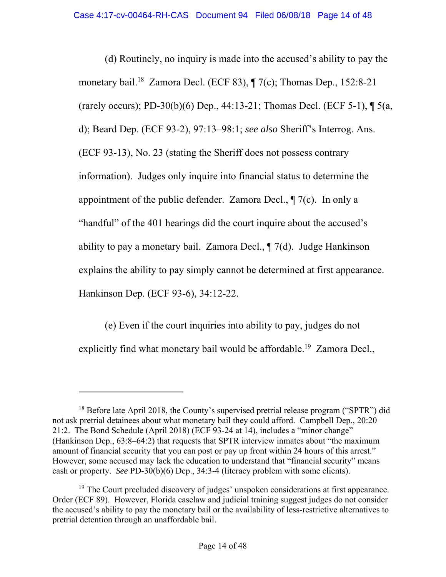(d) Routinely, no inquiry is made into the accused's ability to pay the monetary bail.<sup>18</sup> Zamora Decl. (ECF 83), ¶ 7(c); Thomas Dep., 152:8-21 (rarely occurs); PD-30(b)(6) Dep., 44:13-21; Thomas Decl. (ECF 5-1), ¶ 5(a, d); Beard Dep. (ECF 93-2), 97:13–98:1; *see also* Sheriff's Interrog. Ans. (ECF 93-13), No. 23 (stating the Sheriff does not possess contrary information). Judges only inquire into financial status to determine the appointment of the public defender. Zamora Decl., ¶ 7(c). In only a "handful" of the 401 hearings did the court inquire about the accused's ability to pay a monetary bail. Zamora Decl.,  $\P$  7(d). Judge Hankinson explains the ability to pay simply cannot be determined at first appearance. Hankinson Dep. (ECF 93-6), 34:12-22.

(e) Even if the court inquiries into ability to pay, judges do not explicitly find what monetary bail would be affordable.<sup>19</sup> Zamora Decl.,

<sup>&</sup>lt;sup>18</sup> Before late April 2018, the County's supervised pretrial release program ("SPTR") did not ask pretrial detainees about what monetary bail they could afford. Campbell Dep., 20:20– 21:2. The Bond Schedule (April 2018) (ECF 93-24 at 14), includes a "minor change" (Hankinson Dep., 63:8–64:2) that requests that SPTR interview inmates about "the maximum amount of financial security that you can post or pay up front within 24 hours of this arrest." However, some accused may lack the education to understand that "financial security" means cash or property. *See* PD-30(b)(6) Dep., 34:3-4 (literacy problem with some clients).

 $19$  The Court precluded discovery of judges' unspoken considerations at first appearance. Order (ECF 89). However, Florida caselaw and judicial training suggest judges do not consider the accused's ability to pay the monetary bail or the availability of less-restrictive alternatives to pretrial detention through an unaffordable bail.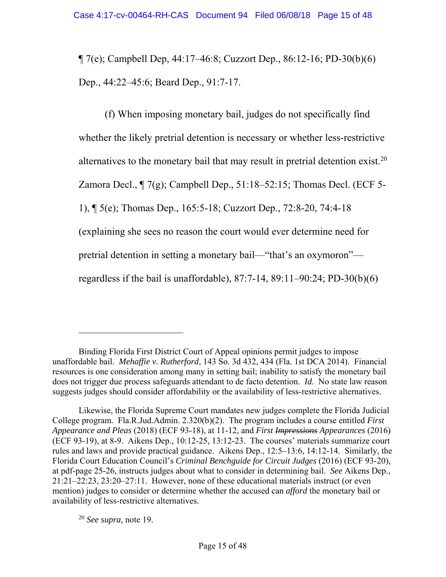¶ 7(e); Campbell Dep, 44:17–46:8; Cuzzort Dep., 86:12-16; PD-30(b)(6) Dep., 44:22–45:6; Beard Dep., 91:7-17.

(f) When imposing monetary bail, judges do not specifically find whether the likely pretrial detention is necessary or whether less-restrictive alternatives to the monetary bail that may result in pretrial detention exist.<sup>20</sup> Zamora Decl.,  $\P$  7(g); Campbell Dep., 51:18–52:15; Thomas Decl. (ECF 5-1), ¶ 5(e); Thomas Dep., 165:5-18; Cuzzort Dep., 72:8-20, 74:4-18 (explaining she sees no reason the court would ever determine need for pretrial detention in setting a monetary bail—"that's an oxymoron" regardless if the bail is unaffordable), 87:7-14, 89:11–90:24; PD-30(b)(6)

<sup>20</sup> *See supra,* note 19.

Binding Florida First District Court of Appeal opinions permit judges to impose unaffordable bail. *Mehaffie v. Rutherford*, 143 So. 3d 432, 434 (Fla. 1st DCA 2014). Financial resources is one consideration among many in setting bail; inability to satisfy the monetary bail does not trigger due process safeguards attendant to de facto detention. *Id*. No state law reason suggests judges should consider affordability or the availability of less-restrictive alternatives.

Likewise, the Florida Supreme Court mandates new judges complete the Florida Judicial College program. Fla.R.Jud.Admin. 2.320(b)(2). The program includes a course entitled *First Appearance and Pleas* (2018) (ECF 93-18), at 11-12, and *First Impressions Appearances* (2016) (ECF 93-19), at 8-9. Aikens Dep., 10:12-25, 13:12-23. The courses' materials summarize court rules and laws and provide practical guidance. Aikens Dep., 12:5–13:6, 14:12-14. Similarly, the Florida Court Education Council's *Criminal Benchguide for Circuit Judges* (2016) (ECF 93-20), at pdf-page 25-26, instructs judges about what to consider in determining bail. *See* Aikens Dep., 21:21–22:23, 23:20–27:11. However, none of these educational materials instruct (or even mention) judges to consider or determine whether the accused can *afford* the monetary bail or availability of less-restrictive alternatives.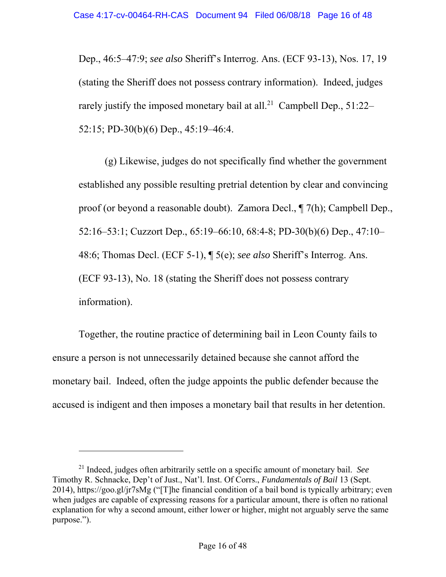Dep., 46:5–47:9; *see also* Sheriff's Interrog. Ans. (ECF 93-13), Nos. 17, 19 (stating the Sheriff does not possess contrary information). Indeed, judges rarely justify the imposed monetary bail at all.<sup>21</sup> Campbell Dep.,  $51:22-$ 52:15; PD-30(b)(6) Dep., 45:19–46:4.

(g) Likewise, judges do not specifically find whether the government established any possible resulting pretrial detention by clear and convincing proof (or beyond a reasonable doubt). Zamora Decl., ¶ 7(h); Campbell Dep., 52:16–53:1; Cuzzort Dep., 65:19–66:10, 68:4-8; PD-30(b)(6) Dep., 47:10– 48:6; Thomas Decl. (ECF 5-1), ¶ 5(e); *see also* Sheriff's Interrog. Ans. (ECF 93-13), No. 18 (stating the Sheriff does not possess contrary information).

Together, the routine practice of determining bail in Leon County fails to ensure a person is not unnecessarily detained because she cannot afford the monetary bail. Indeed, often the judge appoints the public defender because the accused is indigent and then imposes a monetary bail that results in her detention.

<sup>21</sup> Indeed, judges often arbitrarily settle on a specific amount of monetary bail. *See*  Timothy R. Schnacke, Dep't of Just., Nat'l. Inst. Of Corrs., *Fundamentals of Bail* 13 (Sept. 2014), https://goo.gl/jr7sMg ("[T]he financial condition of a bail bond is typically arbitrary; even when judges are capable of expressing reasons for a particular amount, there is often no rational explanation for why a second amount, either lower or higher, might not arguably serve the same purpose.").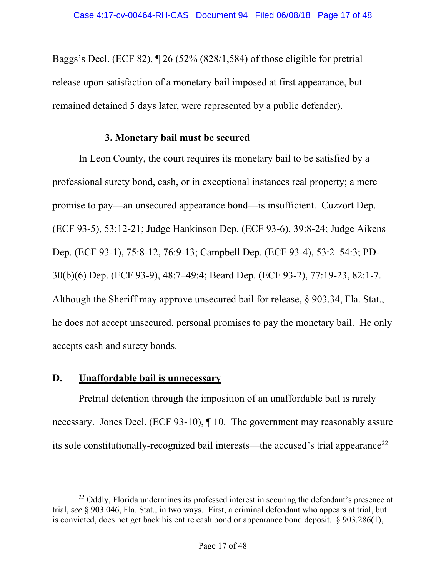Baggs's Decl. (ECF 82), ¶ 26 (52% (828/1,584) of those eligible for pretrial release upon satisfaction of a monetary bail imposed at first appearance, but remained detained 5 days later, were represented by a public defender).

### **3. Monetary bail must be secured**

In Leon County, the court requires its monetary bail to be satisfied by a professional surety bond, cash, or in exceptional instances real property; a mere promise to pay—an unsecured appearance bond—is insufficient. Cuzzort Dep. (ECF 93-5), 53:12-21; Judge Hankinson Dep. (ECF 93-6), 39:8-24; Judge Aikens Dep. (ECF 93-1), 75:8-12, 76:9-13; Campbell Dep. (ECF 93-4), 53:2–54:3; PD-30(b)(6) Dep. (ECF 93-9), 48:7–49:4; Beard Dep. (ECF 93-2), 77:19-23, 82:1-7. Although the Sheriff may approve unsecured bail for release, § 903.34, Fla. Stat., he does not accept unsecured, personal promises to pay the monetary bail. He only accepts cash and surety bonds.

### **D. Unaffordable bail is unnecessary**

 $\overline{a}$ 

Pretrial detention through the imposition of an unaffordable bail is rarely necessary. Jones Decl. (ECF 93-10), ¶ 10. The government may reasonably assure its sole constitutionally-recognized bail interests—the accused's trial appearance<sup>22</sup>

 $^{22}$  Oddly, Florida undermines its professed interest in securing the defendant's presence at trial, *see* § 903.046, Fla. Stat., in two ways. First, a criminal defendant who appears at trial, but is convicted, does not get back his entire cash bond or appearance bond deposit. § 903.286(1),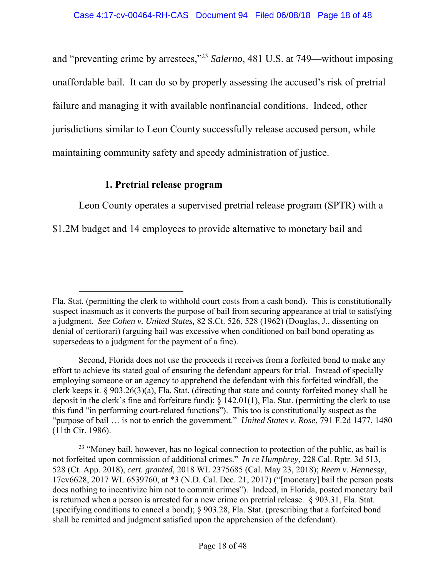and "preventing crime by arrestees,"23 *Salerno*, 481 U.S. at 749—without imposing unaffordable bail. It can do so by properly assessing the accused's risk of pretrial failure and managing it with available nonfinancial conditions. Indeed, other jurisdictions similar to Leon County successfully release accused person, while maintaining community safety and speedy administration of justice.

### **1. Pretrial release program**

-

Leon County operates a supervised pretrial release program (SPTR) with a

\$1.2M budget and 14 employees to provide alternative to monetary bail and

Fla. Stat. (permitting the clerk to withhold court costs from a cash bond). This is constitutionally suspect inasmuch as it converts the purpose of bail from securing appearance at trial to satisfying a judgment. *See Cohen v. United States,* 82 S.Ct. 526, 528 (1962) (Douglas, J., dissenting on denial of certiorari) (arguing bail was excessive when conditioned on bail bond operating as supersedeas to a judgment for the payment of a fine).

Second, Florida does not use the proceeds it receives from a forfeited bond to make any effort to achieve its stated goal of ensuring the defendant appears for trial. Instead of specially employing someone or an agency to apprehend the defendant with this forfeited windfall, the clerk keeps it. § 903.26(3)(a), Fla. Stat. (directing that state and county forfeited money shall be deposit in the clerk's fine and forfeiture fund); § 142.01(1), Fla. Stat. (permitting the clerk to use this fund "in performing court-related functions"). This too is constitutionally suspect as the "purpose of bail … is not to enrich the government." *United States v. Rose*, 791 F.2d 1477, 1480 (11th Cir. 1986).

<sup>&</sup>lt;sup>23</sup> "Money bail, however, has no logical connection to protection of the public, as bail is not forfeited upon commission of additional crimes." *In re Humphrey*, 228 Cal. Rptr. 3d 513, 528 (Ct. App. 2018), *cert. granted*, 2018 WL 2375685 (Cal. May 23, 2018); *Reem v. Hennessy*, 17cv6628, 2017 WL 6539760, at \*3 (N.D. Cal. Dec. 21, 2017) ("[monetary] bail the person posts does nothing to incentivize him not to commit crimes"). Indeed, in Florida, posted monetary bail is returned when a person is arrested for a new crime on pretrial release. § 903.31, Fla. Stat. (specifying conditions to cancel a bond); § 903.28, Fla. Stat. (prescribing that a forfeited bond shall be remitted and judgment satisfied upon the apprehension of the defendant).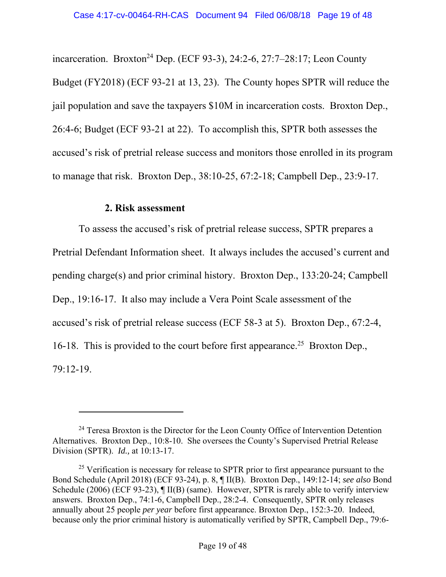incarceration. Broxton<sup>24</sup> Dep. (ECF 93-3), 24:2-6, 27:7-28:17; Leon County Budget (FY2018) (ECF 93-21 at 13, 23). The County hopes SPTR will reduce the jail population and save the taxpayers \$10M in incarceration costs. Broxton Dep., 26:4-6; Budget (ECF 93-21 at 22). To accomplish this, SPTR both assesses the accused's risk of pretrial release success and monitors those enrolled in its program to manage that risk. Broxton Dep., 38:10-25, 67:2-18; Campbell Dep., 23:9-17.

#### **2. Risk assessment**

l

To assess the accused's risk of pretrial release success, SPTR prepares a Pretrial Defendant Information sheet. It always includes the accused's current and pending charge(s) and prior criminal history. Broxton Dep., 133:20-24; Campbell Dep., 19:16-17. It also may include a Vera Point Scale assessment of the accused's risk of pretrial release success (ECF 58-3 at 5). Broxton Dep., 67:2-4, 16-18. This is provided to the court before first appearance.<sup>25</sup> Broxton Dep., 79:12-19.

<sup>&</sup>lt;sup>24</sup> Teresa Broxton is the Director for the Leon County Office of Intervention Detention Alternatives. Broxton Dep., 10:8-10. She oversees the County's Supervised Pretrial Release Division (SPTR). *Id.,* at 10:13-17.

 $25$  Verification is necessary for release to SPTR prior to first appearance pursuant to the Bond Schedule (April 2018) (ECF 93-24), p. 8, ¶ II(B). Broxton Dep., 149:12-14; *see also* Bond Schedule (2006) (ECF 93-23), ¶ II(B) (same). However, SPTR is rarely able to verify interview answers. Broxton Dep., 74:1-6, Campbell Dep., 28:2-4. Consequently, SPTR only releases annually about 25 people *per year* before first appearance. Broxton Dep., 152:3-20. Indeed, because only the prior criminal history is automatically verified by SPTR, Campbell Dep., 79:6-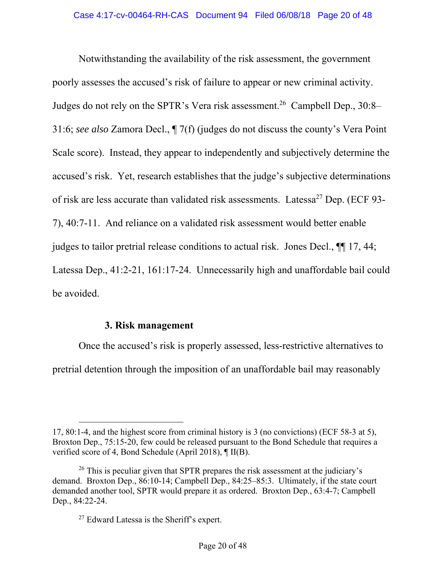Notwithstanding the availability of the risk assessment, the government poorly assesses the accused's risk of failure to appear or new criminal activity. Judges do not rely on the SPTR's Vera risk assessment.<sup>26</sup> Campbell Dep.,  $30:8-$ 31:6; *see also* Zamora Decl., ¶ 7(f) (judges do not discuss the county's Vera Point Scale score). Instead, they appear to independently and subjectively determine the accused's risk. Yet, research establishes that the judge's subjective determinations of risk are less accurate than validated risk assessments. Latessa<sup>27</sup> Dep. (ECF 93-7), 40:7-11. And reliance on a validated risk assessment would better enable judges to tailor pretrial release conditions to actual risk. Jones Decl., ¶¶ 17, 44; Latessa Dep., 41:2-21, 161:17-24. Unnecessarily high and unaffordable bail could be avoided.

### **3. Risk management**

-

Once the accused's risk is properly assessed, less-restrictive alternatives to pretrial detention through the imposition of an unaffordable bail may reasonably

<sup>17, 80:1-4,</sup> and the highest score from criminal history is 3 (no convictions) (ECF 58-3 at 5), Broxton Dep., 75:15-20, few could be released pursuant to the Bond Schedule that requires a verified score of 4, Bond Schedule (April 2018), ¶ II(B).

 $26$  This is peculiar given that SPTR prepares the risk assessment at the judiciary's demand. Broxton Dep., 86:10-14; Campbell Dep., 84:25–85:3. Ultimately, if the state court demanded another tool, SPTR would prepare it as ordered. Broxton Dep., 63:4-7; Campbell Dep., 84:22-24.

 $27$  Edward Latessa is the Sheriff's expert.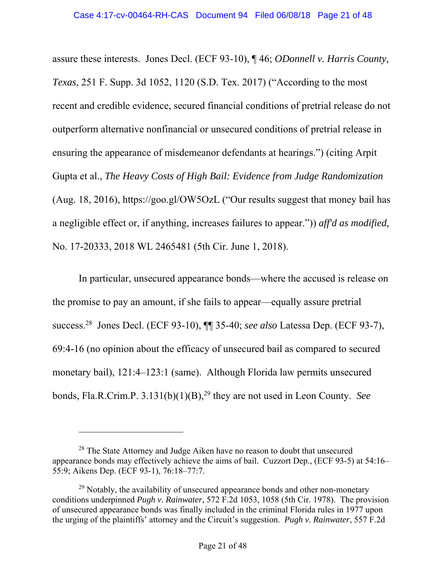assure these interests. Jones Decl. (ECF 93-10), ¶ 46; *ODonnell v. Harris County, Texas*, 251 F. Supp. 3d 1052, 1120 (S.D. Tex. 2017) ("According to the most recent and credible evidence, secured financial conditions of pretrial release do not outperform alternative nonfinancial or unsecured conditions of pretrial release in ensuring the appearance of misdemeanor defendants at hearings.") (citing Arpit Gupta et al., *The Heavy Costs of High Bail: Evidence from Judge Randomization*  (Aug. 18, 2016), https://goo.gl/OW5OzL ("Our results suggest that money bail has a negligible effect or, if anything, increases failures to appear.")) *aff'd as modified,*  No. 17-20333, 2018 WL 2465481 (5th Cir. June 1, 2018).

In particular, unsecured appearance bonds—where the accused is release on the promise to pay an amount, if she fails to appear—equally assure pretrial success.28 Jones Decl. (ECF 93-10), ¶¶ 35-40; *see also* Latessa Dep. (ECF 93-7), 69:4-16 (no opinion about the efficacy of unsecured bail as compared to secured monetary bail), 121:4–123:1 (same). Although Florida law permits unsecured bonds, Fla.R.Crim.P. 3.131(b)(1)(B),<sup>29</sup> they are not used in Leon County. *See* 

<sup>&</sup>lt;sup>28</sup> The State Attorney and Judge Aiken have no reason to doubt that unsecured appearance bonds may effectively achieve the aims of bail. Cuzzort Dep., (ECF 93-5) at 54:16– 55:9; Aikens Dep. (ECF 93-1), 76:18–77:7.

 $29$  Notably, the availability of unsecured appearance bonds and other non-monetary conditions underpinned *Pugh v. Rainwater*, 572 F.2d 1053, 1058 (5th Cir. 1978). The provision of unsecured appearance bonds was finally included in the criminal Florida rules in 1977 upon the urging of the plaintiffs' attorney and the Circuit's suggestion. *Pugh v. Rainwater*, 557 F.2d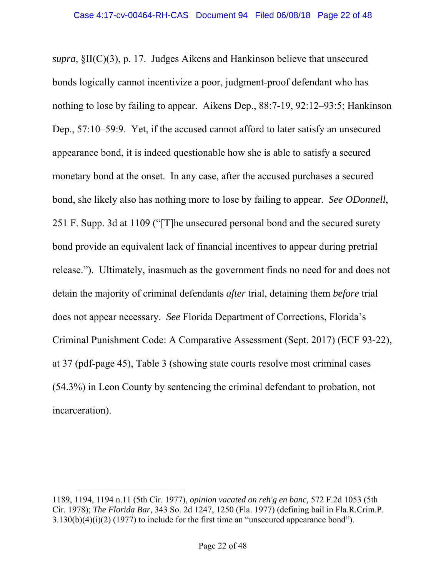*supra,* §II(C)(3), p. 17. Judges Aikens and Hankinson believe that unsecured bonds logically cannot incentivize a poor, judgment-proof defendant who has nothing to lose by failing to appear. Aikens Dep., 88:7-19, 92:12–93:5; Hankinson Dep., 57:10–59:9. Yet, if the accused cannot afford to later satisfy an unsecured appearance bond, it is indeed questionable how she is able to satisfy a secured monetary bond at the onset. In any case, after the accused purchases a secured bond, she likely also has nothing more to lose by failing to appear. *See ODonnell*, 251 F. Supp. 3d at 1109 ("[T]he unsecured personal bond and the secured surety bond provide an equivalent lack of financial incentives to appear during pretrial release."). Ultimately, inasmuch as the government finds no need for and does not detain the majority of criminal defendants *after* trial, detaining them *before* trial does not appear necessary. *See* Florida Department of Corrections, Florida's Criminal Punishment Code: A Comparative Assessment (Sept. 2017) (ECF 93-22), at 37 (pdf-page 45), Table 3 (showing state courts resolve most criminal cases (54.3%) in Leon County by sentencing the criminal defendant to probation, not incarceration).

<sup>1189, 1194, 1194</sup> n.11 (5th Cir. 1977), *opinion vacated on reh'g en banc,* 572 F.2d 1053 (5th Cir. 1978); *The Florida Bar*, 343 So. 2d 1247, 1250 (Fla. 1977) (defining bail in Fla.R.Crim.P. 3.130(b)(4)(i)(2) (1977) to include for the first time an "unsecured appearance bond").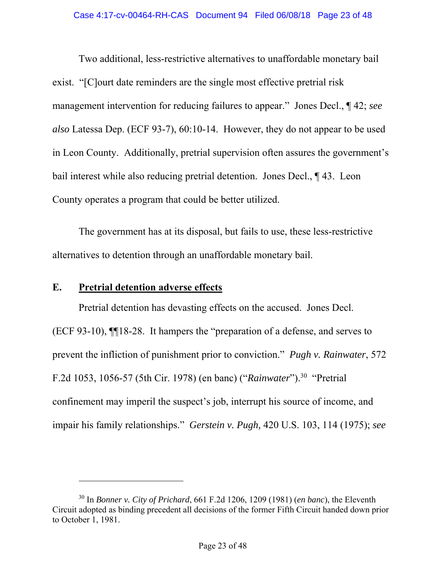Two additional, less-restrictive alternatives to unaffordable monetary bail exist. "[C]ourt date reminders are the single most effective pretrial risk management intervention for reducing failures to appear." Jones Decl., ¶ 42; *see also* Latessa Dep. (ECF 93-7), 60:10-14. However, they do not appear to be used in Leon County. Additionally, pretrial supervision often assures the government's bail interest while also reducing pretrial detention. Jones Decl., ¶ 43. Leon County operates a program that could be better utilized.

The government has at its disposal, but fails to use, these less-restrictive alternatives to detention through an unaffordable monetary bail.

## **E. Pretrial detention adverse effects**

-

Pretrial detention has devasting effects on the accused. Jones Decl. (ECF 93-10), ¶¶18-28. It hampers the "preparation of a defense, and serves to prevent the infliction of punishment prior to conviction." *Pugh v. Rainwater*, 572 F.2d 1053, 1056-57 (5th Cir. 1978) (en banc) ("*Rainwater*").30 "Pretrial confinement may imperil the suspect's job, interrupt his source of income, and impair his family relationships." *Gerstein v. Pugh,* 420 U.S. 103, 114 (1975); *see* 

<sup>30</sup> In *Bonner v. City of Prichard*, 661 F.2d 1206, 1209 (1981) (*en banc*), the Eleventh Circuit adopted as binding precedent all decisions of the former Fifth Circuit handed down prior to October 1, 1981.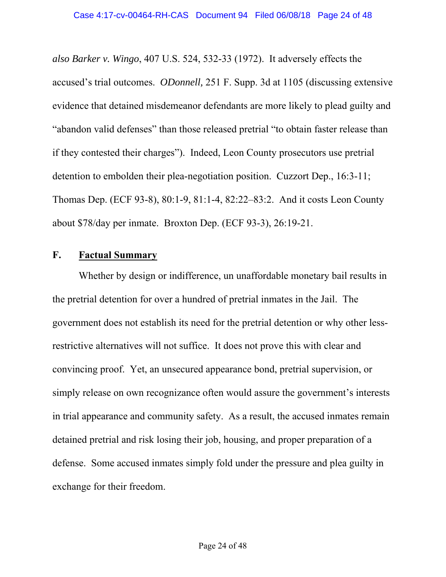*also Barker v. Wingo*, 407 U.S. 524, 532-33 (1972). It adversely effects the accused's trial outcomes. *ODonnell,* 251 F. Supp. 3d at 1105 (discussing extensive evidence that detained misdemeanor defendants are more likely to plead guilty and "abandon valid defenses" than those released pretrial "to obtain faster release than if they contested their charges"). Indeed, Leon County prosecutors use pretrial detention to embolden their plea-negotiation position. Cuzzort Dep., 16:3-11; Thomas Dep. (ECF 93-8), 80:1-9, 81:1-4, 82:22–83:2. And it costs Leon County about \$78/day per inmate. Broxton Dep. (ECF 93-3), 26:19-21.

## **F. Factual Summary**

Whether by design or indifference, un unaffordable monetary bail results in the pretrial detention for over a hundred of pretrial inmates in the Jail. The government does not establish its need for the pretrial detention or why other lessrestrictive alternatives will not suffice. It does not prove this with clear and convincing proof. Yet, an unsecured appearance bond, pretrial supervision, or simply release on own recognizance often would assure the government's interests in trial appearance and community safety. As a result, the accused inmates remain detained pretrial and risk losing their job, housing, and proper preparation of a defense. Some accused inmates simply fold under the pressure and plea guilty in exchange for their freedom.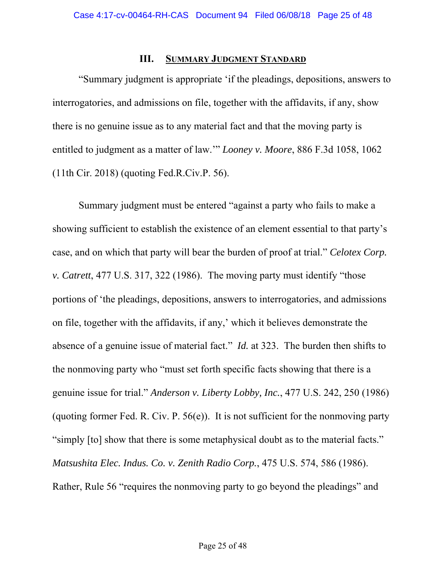#### **III. SUMMARY JUDGMENT STANDARD**

"Summary judgment is appropriate 'if the pleadings, depositions, answers to interrogatories, and admissions on file, together with the affidavits, if any, show there is no genuine issue as to any material fact and that the moving party is entitled to judgment as a matter of law.'" *Looney v. Moore*, 886 F.3d 1058, 1062 (11th Cir. 2018) (quoting Fed.R.Civ.P. 56).

Summary judgment must be entered "against a party who fails to make a showing sufficient to establish the existence of an element essential to that party's case, and on which that party will bear the burden of proof at trial." *Celotex Corp. v. Catrett*, 477 U.S. 317, 322 (1986). The moving party must identify "those portions of 'the pleadings, depositions, answers to interrogatories, and admissions on file, together with the affidavits, if any,' which it believes demonstrate the absence of a genuine issue of material fact." *Id.* at 323. The burden then shifts to the nonmoving party who "must set forth specific facts showing that there is a genuine issue for trial." *Anderson v. Liberty Lobby, Inc.*, 477 U.S. 242, 250 (1986) (quoting former Fed. R. Civ. P.  $56(e)$ ). It is not sufficient for the nonmoving party "simply [to] show that there is some metaphysical doubt as to the material facts." *Matsushita Elec. Indus. Co. v. Zenith Radio Corp.*, 475 U.S. 574, 586 (1986). Rather, Rule 56 "requires the nonmoving party to go beyond the pleadings" and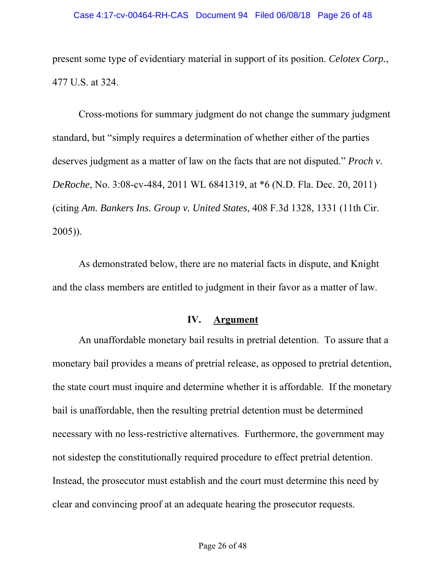present some type of evidentiary material in support of its position. *Celotex Corp.*, 477 U.S. at 324.

Cross-motions for summary judgment do not change the summary judgment standard, but "simply requires a determination of whether either of the parties deserves judgment as a matter of law on the facts that are not disputed." *Proch v. DeRoche*, No. 3:08-cv-484, 2011 WL 6841319, at \*6 (N.D. Fla. Dec. 20, 2011) (citing *Am. Bankers Ins. Group v. United States*, 408 F.3d 1328, 1331 (11th Cir. 2005)).

As demonstrated below, there are no material facts in dispute, and Knight and the class members are entitled to judgment in their favor as a matter of law.

#### **IV. Argument**

An unaffordable monetary bail results in pretrial detention. To assure that a monetary bail provides a means of pretrial release, as opposed to pretrial detention, the state court must inquire and determine whether it is affordable. If the monetary bail is unaffordable, then the resulting pretrial detention must be determined necessary with no less-restrictive alternatives. Furthermore, the government may not sidestep the constitutionally required procedure to effect pretrial detention. Instead, the prosecutor must establish and the court must determine this need by clear and convincing proof at an adequate hearing the prosecutor requests.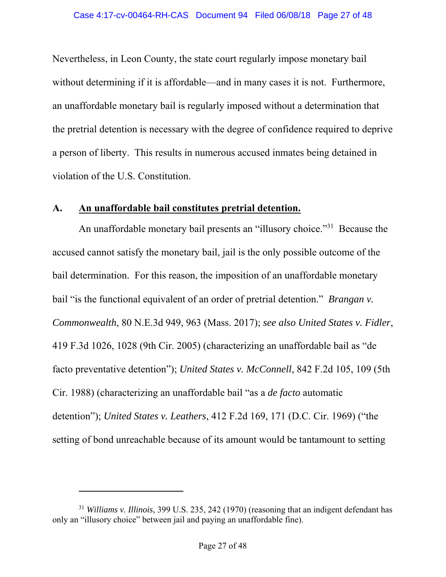Nevertheless, in Leon County, the state court regularly impose monetary bail without determining if it is affordable—and in many cases it is not. Furthermore, an unaffordable monetary bail is regularly imposed without a determination that the pretrial detention is necessary with the degree of confidence required to deprive a person of liberty. This results in numerous accused inmates being detained in violation of the U.S. Constitution.

### **A. An unaffordable bail constitutes pretrial detention.**

An unaffordable monetary bail presents an "illusory choice."<sup>31</sup> Because the accused cannot satisfy the monetary bail, jail is the only possible outcome of the bail determination. For this reason, the imposition of an unaffordable monetary bail "is the functional equivalent of an order of pretrial detention." *Brangan v. Commonwealth*, 80 N.E.3d 949, 963 (Mass. 2017); *see also United States v. Fidler*, 419 F.3d 1026, 1028 (9th Cir. 2005) (characterizing an unaffordable bail as "de facto preventative detention"); *United States v. McConnell*, 842 F.2d 105, 109 (5th Cir. 1988) (characterizing an unaffordable bail "as a *de facto* automatic detention"); *United States v. Leathers*, 412 F.2d 169, 171 (D.C. Cir. 1969) ("the setting of bond unreachable because of its amount would be tantamount to setting

<sup>31</sup> *Williams v. Illinois*, 399 U.S. 235, 242 (1970) (reasoning that an indigent defendant has only an "illusory choice" between jail and paying an unaffordable fine).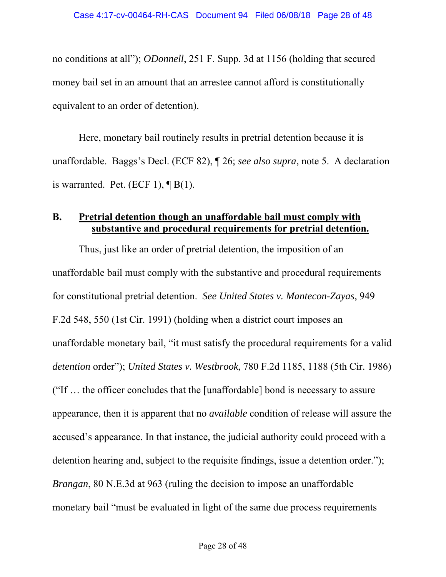no conditions at all"); *ODonnell*, 251 F. Supp. 3d at 1156 (holding that secured money bail set in an amount that an arrestee cannot afford is constitutionally equivalent to an order of detention).

Here, monetary bail routinely results in pretrial detention because it is unaffordable. Baggs's Decl. (ECF 82), ¶ 26; *see also supra*, note 5. A declaration is warranted. Pet. (ECF 1),  $\P B(1)$ .

## **B. Pretrial detention though an unaffordable bail must comply with substantive and procedural requirements for pretrial detention.**

Thus, just like an order of pretrial detention, the imposition of an unaffordable bail must comply with the substantive and procedural requirements for constitutional pretrial detention. *See United States v. Mantecon-Zayas*, 949 F.2d 548, 550 (1st Cir. 1991) (holding when a district court imposes an unaffordable monetary bail, "it must satisfy the procedural requirements for a valid *detention* order"); *United States v. Westbrook*, 780 F.2d 1185, 1188 (5th Cir. 1986) ("If … the officer concludes that the [unaffordable] bond is necessary to assure appearance, then it is apparent that no *available* condition of release will assure the accused's appearance. In that instance, the judicial authority could proceed with a detention hearing and, subject to the requisite findings, issue a detention order."); *Brangan*, 80 N.E.3d at 963 (ruling the decision to impose an unaffordable monetary bail "must be evaluated in light of the same due process requirements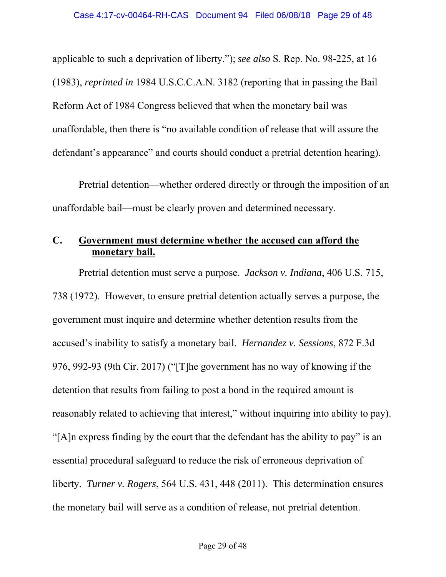applicable to such a deprivation of liberty."); *see also* S. Rep. No. 98-225, at 16 (1983), *reprinted in* 1984 U.S.C.C.A.N. 3182 (reporting that in passing the Bail Reform Act of 1984 Congress believed that when the monetary bail was unaffordable, then there is "no available condition of release that will assure the defendant's appearance" and courts should conduct a pretrial detention hearing).

Pretrial detention—whether ordered directly or through the imposition of an unaffordable bail—must be clearly proven and determined necessary.

## **C. Government must determine whether the accused can afford the monetary bail.**

Pretrial detention must serve a purpose. *Jackson v. Indiana*, 406 U.S. 715, 738 (1972). However, to ensure pretrial detention actually serves a purpose, the government must inquire and determine whether detention results from the accused's inability to satisfy a monetary bail. *Hernandez v. Sessions*, 872 F.3d 976, 992-93 (9th Cir. 2017) ("[T]he government has no way of knowing if the detention that results from failing to post a bond in the required amount is reasonably related to achieving that interest," without inquiring into ability to pay). "[A]n express finding by the court that the defendant has the ability to pay" is an essential procedural safeguard to reduce the risk of erroneous deprivation of liberty. *Turner v. Rogers*, 564 U.S. 431, 448 (2011). This determination ensures the monetary bail will serve as a condition of release, not pretrial detention.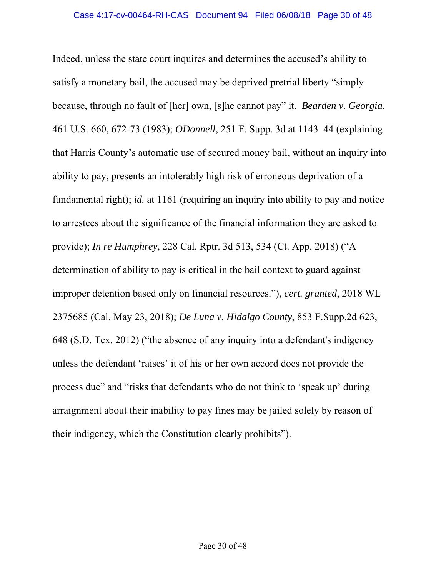Indeed, unless the state court inquires and determines the accused's ability to satisfy a monetary bail, the accused may be deprived pretrial liberty "simply because, through no fault of [her] own, [s]he cannot pay" it. *Bearden v. Georgia*, 461 U.S. 660, 672-73 (1983); *ODonnell*, 251 F. Supp. 3d at 1143–44 (explaining that Harris County's automatic use of secured money bail, without an inquiry into ability to pay, presents an intolerably high risk of erroneous deprivation of a fundamental right); *id.* at 1161 (requiring an inquiry into ability to pay and notice to arrestees about the significance of the financial information they are asked to provide); *In re Humphrey*, 228 Cal. Rptr. 3d 513, 534 (Ct. App. 2018) ("A determination of ability to pay is critical in the bail context to guard against improper detention based only on financial resources."), *cert. granted*, 2018 WL 2375685 (Cal. May 23, 2018); *De Luna v. Hidalgo County*, 853 F.Supp.2d 623, 648 (S.D. Tex. 2012) ("the absence of any inquiry into a defendant's indigency unless the defendant 'raises' it of his or her own accord does not provide the process due" and "risks that defendants who do not think to 'speak up' during arraignment about their inability to pay fines may be jailed solely by reason of their indigency, which the Constitution clearly prohibits").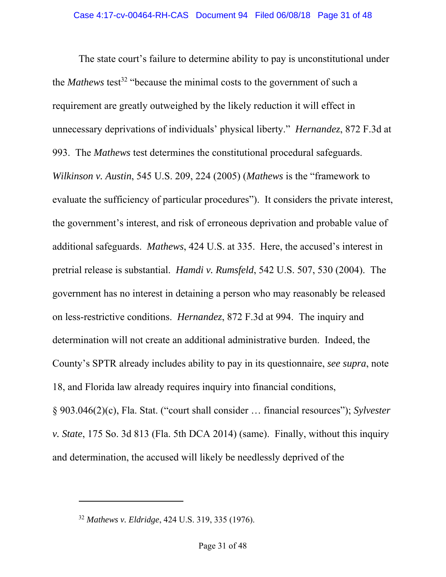The state court's failure to determine ability to pay is unconstitutional under the *Mathews* test<sup>32</sup> "because the minimal costs to the government of such a requirement are greatly outweighed by the likely reduction it will effect in unnecessary deprivations of individuals' physical liberty." *Hernandez*, 872 F.3d at 993. The *Mathews* test determines the constitutional procedural safeguards. *Wilkinson v. Austin*, 545 U.S. 209, 224 (2005) (*Mathews* is the "framework to evaluate the sufficiency of particular procedures"). It considers the private interest, the government's interest, and risk of erroneous deprivation and probable value of additional safeguards. *Mathews*, 424 U.S. at 335. Here, the accused's interest in pretrial release is substantial. *Hamdi v. Rumsfeld*, 542 U.S. 507, 530 (2004). The government has no interest in detaining a person who may reasonably be released on less-restrictive conditions. *Hernandez*, 872 F.3d at 994. The inquiry and determination will not create an additional administrative burden. Indeed, the County's SPTR already includes ability to pay in its questionnaire, *see supra*, note 18, and Florida law already requires inquiry into financial conditions, § 903.046(2)(c), Fla. Stat. ("court shall consider … financial resources"); *Sylvester v. State*, 175 So. 3d 813 (Fla. 5th DCA 2014) (same). Finally, without this inquiry and determination, the accused will likely be needlessly deprived of the

<sup>32</sup> *Mathews v. Eldridge*, 424 U.S. 319, 335 (1976).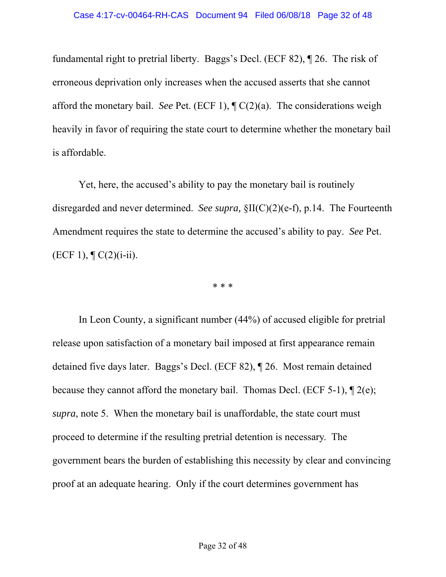fundamental right to pretrial liberty. Baggs's Decl. (ECF 82), ¶ 26. The risk of erroneous deprivation only increases when the accused asserts that she cannot afford the monetary bail. *See* Pet. (ECF 1), ¶ C(2)(a). The considerations weigh heavily in favor of requiring the state court to determine whether the monetary bail is affordable.

Yet, here, the accused's ability to pay the monetary bail is routinely disregarded and never determined. *See supra,* §II(C)(2)(e-f), p.14. The Fourteenth Amendment requires the state to determine the accused's ability to pay. *See* Pet.  $(ECF 1), \P C(2)(i-ii).$ 

\* \* \*

In Leon County, a significant number (44%) of accused eligible for pretrial release upon satisfaction of a monetary bail imposed at first appearance remain detained five days later. Baggs's Decl. (ECF 82), ¶ 26. Most remain detained because they cannot afford the monetary bail. Thomas Decl. (ECF 5-1), ¶ 2(e); *supra*, note 5. When the monetary bail is unaffordable, the state court must proceed to determine if the resulting pretrial detention is necessary. The government bears the burden of establishing this necessity by clear and convincing proof at an adequate hearing. Only if the court determines government has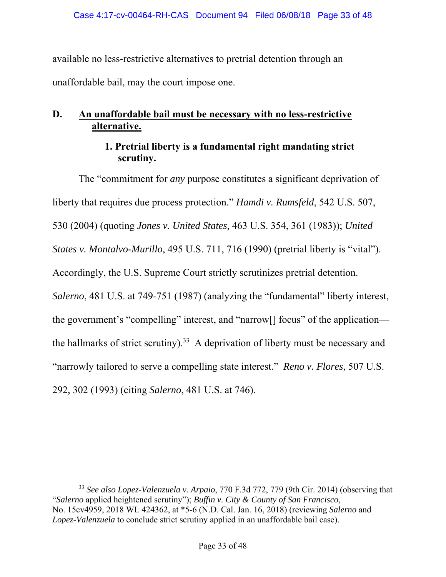available no less-restrictive alternatives to pretrial detention through an unaffordable bail, may the court impose one.

# **D. An unaffordable bail must be necessary with no less-restrictive alternative.**

## **1. Pretrial liberty is a fundamental right mandating strict scrutiny.**

The "commitment for *any* purpose constitutes a significant deprivation of liberty that requires due process protection." *Hamdi v. Rumsfeld*, 542 U.S. 507, 530 (2004) (quoting *Jones v. United States,* 463 U.S. 354, 361 (1983)); *United States v. Montalvo-Murillo*, 495 U.S. 711, 716 (1990) (pretrial liberty is "vital"). Accordingly, the U.S. Supreme Court strictly scrutinizes pretrial detention. *Salerno*, 481 U.S. at 749-751 (1987) (analyzing the "fundamental" liberty interest, the government's "compelling" interest, and "narrow[] focus" of the application the hallmarks of strict scrutiny).<sup>33</sup> A deprivation of liberty must be necessary and "narrowly tailored to serve a compelling state interest." *Reno v. Flores*, 507 U.S. 292, 302 (1993) (citing *Salerno*, 481 U.S. at 746).

l

<sup>33</sup> *See also Lopez-Valenzuela v. Arpaio*, 770 F.3d 772, 779 (9th Cir. 2014) (observing that "*Salerno* applied heightened scrutiny"); *Buffin v. City & County of San Francisco*, No. 15cv4959, 2018 WL 424362, at \*5-6 (N.D. Cal. Jan. 16, 2018) (reviewing *Salerno* and *Lopez-Valenzuela* to conclude strict scrutiny applied in an unaffordable bail case).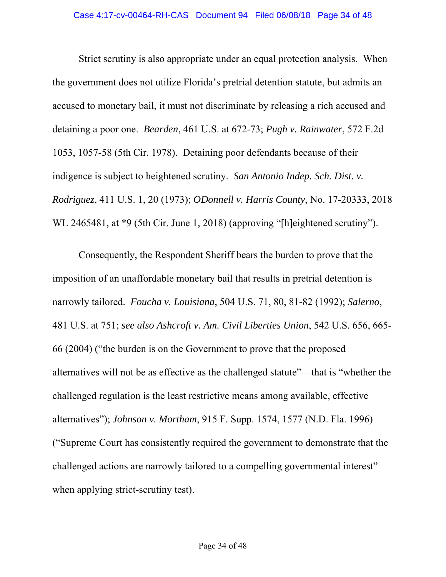Strict scrutiny is also appropriate under an equal protection analysis. When the government does not utilize Florida's pretrial detention statute, but admits an accused to monetary bail, it must not discriminate by releasing a rich accused and detaining a poor one. *Bearden*, 461 U.S. at 672-73; *Pugh v. Rainwater*, 572 F.2d 1053, 1057-58 (5th Cir. 1978). Detaining poor defendants because of their indigence is subject to heightened scrutiny. *San Antonio Indep. Sch. Dist. v. Rodriguez*, 411 U.S. 1, 20 (1973); *ODonnell v. Harris County*, No. 17-20333, 2018 WL 2465481, at \*9 (5th Cir. June 1, 2018) (approving "[h]eightened scrutiny").

Consequently, the Respondent Sheriff bears the burden to prove that the imposition of an unaffordable monetary bail that results in pretrial detention is narrowly tailored. *Foucha v. Louisiana*, 504 U.S. 71, 80, 81-82 (1992); *Salerno*, 481 U.S. at 751; *see also Ashcroft v. Am. Civil Liberties Union*, 542 U.S. 656, 665- 66 (2004) ("the burden is on the Government to prove that the proposed alternatives will not be as effective as the challenged statute"—that is "whether the challenged regulation is the least restrictive means among available, effective alternatives"); *Johnson v. Mortham*, 915 F. Supp. 1574, 1577 (N.D. Fla. 1996) ("Supreme Court has consistently required the government to demonstrate that the challenged actions are narrowly tailored to a compelling governmental interest" when applying strict-scrutiny test).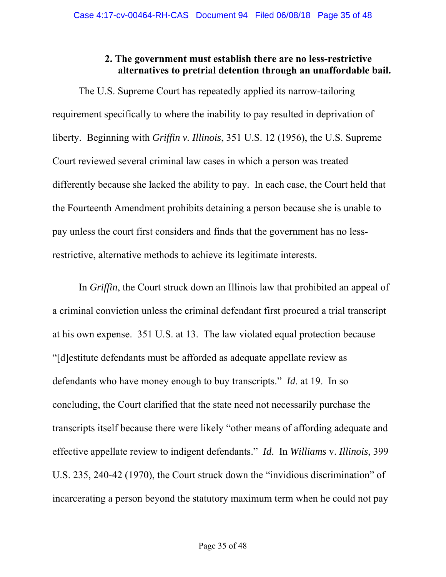# **2. The government must establish there are no less-restrictive alternatives to pretrial detention through an unaffordable bail.**

The U.S. Supreme Court has repeatedly applied its narrow-tailoring requirement specifically to where the inability to pay resulted in deprivation of liberty. Beginning with *Griffin v. Illinois*, 351 U.S. 12 (1956), the U.S. Supreme Court reviewed several criminal law cases in which a person was treated differently because she lacked the ability to pay. In each case, the Court held that the Fourteenth Amendment prohibits detaining a person because she is unable to pay unless the court first considers and finds that the government has no lessrestrictive, alternative methods to achieve its legitimate interests.

In *Griffin*, the Court struck down an Illinois law that prohibited an appeal of a criminal conviction unless the criminal defendant first procured a trial transcript at his own expense. 351 U.S. at 13. The law violated equal protection because "[d]estitute defendants must be afforded as adequate appellate review as defendants who have money enough to buy transcripts." *Id*. at 19. In so concluding, the Court clarified that the state need not necessarily purchase the transcripts itself because there were likely "other means of affording adequate and effective appellate review to indigent defendants." *Id*. In *Williams* v. *Illinois*, 399 U.S. 235, 240-42 (1970), the Court struck down the "invidious discrimination" of incarcerating a person beyond the statutory maximum term when he could not pay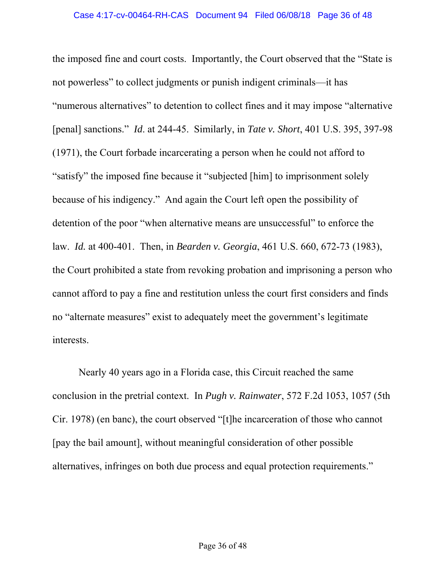the imposed fine and court costs. Importantly, the Court observed that the "State is not powerless" to collect judgments or punish indigent criminals—it has "numerous alternatives" to detention to collect fines and it may impose "alternative [penal] sanctions." *Id*. at 244-45. Similarly, in *Tate v. Short*, 401 U.S. 395, 397-98 (1971), the Court forbade incarcerating a person when he could not afford to "satisfy" the imposed fine because it "subjected [him] to imprisonment solely because of his indigency." And again the Court left open the possibility of detention of the poor "when alternative means are unsuccessful" to enforce the law. *Id.* at 400-401. Then, in *Bearden v. Georgia*, 461 U.S. 660, 672-73 (1983), the Court prohibited a state from revoking probation and imprisoning a person who cannot afford to pay a fine and restitution unless the court first considers and finds no "alternate measures" exist to adequately meet the government's legitimate interests.

Nearly 40 years ago in a Florida case, this Circuit reached the same conclusion in the pretrial context. In *Pugh v. Rainwater*, 572 F.2d 1053, 1057 (5th Cir. 1978) (en banc), the court observed "[t]he incarceration of those who cannot [pay the bail amount], without meaningful consideration of other possible alternatives, infringes on both due process and equal protection requirements."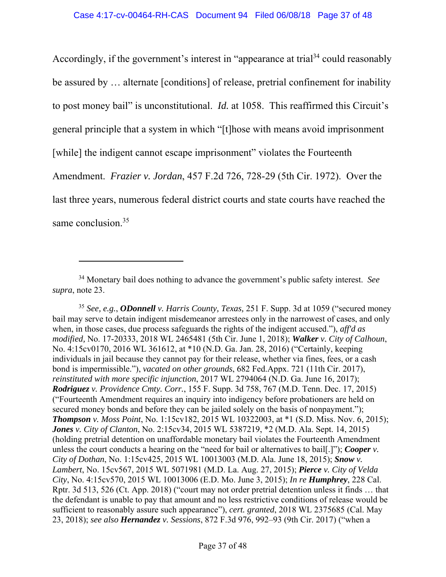Accordingly, if the government's interest in "appearance at trial<sup>34</sup> could reasonably be assured by … alternate [conditions] of release, pretrial confinement for inability to post money bail" is unconstitutional. *Id.* at 1058. This reaffirmed this Circuit's general principle that a system in which "[t]hose with means avoid imprisonment [while] the indigent cannot escape imprisonment" violates the Fourteenth Amendment. *Frazier v. Jordan*, 457 F.2d 726, 728-29 (5th Cir. 1972). Over the last three years, numerous federal district courts and state courts have reached the same conclusion.<sup>35</sup>

<sup>34</sup> Monetary bail does nothing to advance the government's public safety interest. *See supra*, note 23.

<sup>35</sup> *See, e.g.*, *ODonnell v. Harris County, Texas,* 251 F. Supp. 3d at 1059 ("secured money bail may serve to detain indigent misdemeanor arrestees only in the narrowest of cases, and only when, in those cases, due process safeguards the rights of the indigent accused."), *aff'd as modified,* No. 17-20333, 2018 WL 2465481 (5th Cir. June 1, 2018); *Walker v. City of Calhoun*, No. 4:15cv0170, 2016 WL 361612, at \*10 (N.D. Ga. Jan. 28, 2016) ("Certainly, keeping individuals in jail because they cannot pay for their release, whether via fines, fees, or a cash bond is impermissible."), *vacated on other grounds*, 682 Fed.Appx. 721 (11th Cir. 2017), *reinstituted with more specific injunction*, 2017 WL 2794064 (N.D. Ga. June 16, 2017); *Rodriguez v. Providence Cmty. Corr.*, 155 F. Supp. 3d 758, 767 (M.D. Tenn. Dec. 17, 2015) ("Fourteenth Amendment requires an inquiry into indigency before probationers are held on secured money bonds and before they can be jailed solely on the basis of nonpayment."); *Thompson v. Moss Point*, No. 1:15cv182, 2015 WL 10322003, at \*1 (S.D. Miss. Nov. 6, 2015); *Jones v. City of Clanton*, No. 2:15cv34, 2015 WL 5387219, \*2 (M.D. Ala. Sept. 14, 2015) (holding pretrial detention on unaffordable monetary bail violates the Fourteenth Amendment unless the court conducts a hearing on the "need for bail or alternatives to bail[.]"); *Cooper v. City of Dothan*, No. 1:15cv425, 2015 WL 10013003 (M.D. Ala. June 18, 2015); *Snow v. Lambert*, No. 15cv567, 2015 WL 5071981 (M.D. La. Aug. 27, 2015); *Pierce v. City of Velda City*, No. 4:15cv570, 2015 WL 10013006 (E.D. Mo. June 3, 2015); *In re Humphrey*, 228 Cal. Rptr. 3d 513, 526 (Ct. App. 2018) ("court may not order pretrial detention unless it finds … that the defendant is unable to pay that amount and no less restrictive conditions of release would be sufficient to reasonably assure such appearance"), *cert. granted*, 2018 WL 2375685 (Cal. May 23, 2018); *see also Hernandez v. Sessions*, 872 F.3d 976, 992–93 (9th Cir. 2017) ("when a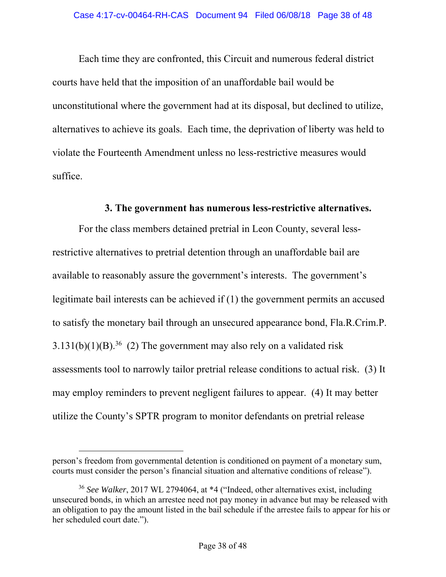Each time they are confronted, this Circuit and numerous federal district courts have held that the imposition of an unaffordable bail would be unconstitutional where the government had at its disposal, but declined to utilize, alternatives to achieve its goals. Each time, the deprivation of liberty was held to violate the Fourteenth Amendment unless no less-restrictive measures would suffice.

#### **3. The government has numerous less-restrictive alternatives.**

For the class members detained pretrial in Leon County, several lessrestrictive alternatives to pretrial detention through an unaffordable bail are available to reasonably assure the government's interests. The government's legitimate bail interests can be achieved if (1) the government permits an accused to satisfy the monetary bail through an unsecured appearance bond, Fla.R.Crim.P.  $3.131(b)(1)(B).^{36}$  (2) The government may also rely on a validated risk assessments tool to narrowly tailor pretrial release conditions to actual risk. (3) It may employ reminders to prevent negligent failures to appear. (4) It may better utilize the County's SPTR program to monitor defendants on pretrial release

person's freedom from governmental detention is conditioned on payment of a monetary sum, courts must consider the person's financial situation and alternative conditions of release").

<sup>36</sup> *See Walker*, 2017 WL 2794064, at \*4 ("Indeed, other alternatives exist, including unsecured bonds, in which an arrestee need not pay money in advance but may be released with an obligation to pay the amount listed in the bail schedule if the arrestee fails to appear for his or her scheduled court date.").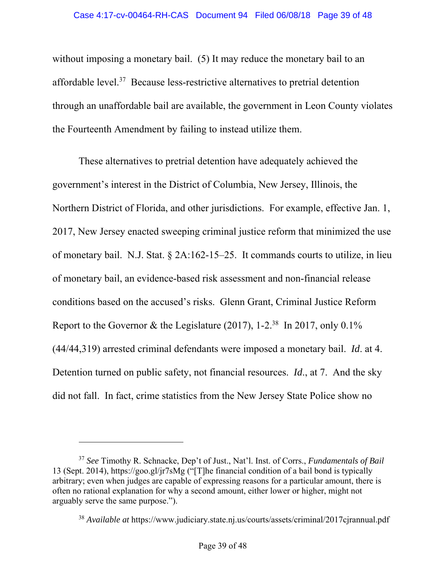without imposing a monetary bail. (5) It may reduce the monetary bail to an affordable level.37 Because less-restrictive alternatives to pretrial detention through an unaffordable bail are available, the government in Leon County violates the Fourteenth Amendment by failing to instead utilize them.

These alternatives to pretrial detention have adequately achieved the government's interest in the District of Columbia, New Jersey, Illinois, the Northern District of Florida, and other jurisdictions. For example, effective Jan. 1, 2017, New Jersey enacted sweeping criminal justice reform that minimized the use of monetary bail. N.J. Stat. § 2A:162-15–25. It commands courts to utilize, in lieu of monetary bail, an evidence-based risk assessment and non-financial release conditions based on the accused's risks. Glenn Grant, Criminal Justice Reform Report to the Governor & the Legislature  $(2017)$ , 1-2<sup>38</sup> In 2017, only 0.1% (44/44,319) arrested criminal defendants were imposed a monetary bail. *Id*. at 4. Detention turned on public safety, not financial resources. *Id*., at 7. And the sky did not fall. In fact, crime statistics from the New Jersey State Police show no

<sup>37</sup> *See* Timothy R. Schnacke, Dep't of Just., Nat'l. Inst. of Corrs., *Fundamentals of Bail*  13 (Sept. 2014), https://goo.gl/jr7sMg ("[T]he financial condition of a bail bond is typically arbitrary; even when judges are capable of expressing reasons for a particular amount, there is often no rational explanation for why a second amount, either lower or higher, might not arguably serve the same purpose.").

<sup>38</sup> *Available at* https://www.judiciary.state.nj.us/courts/assets/criminal/2017cjrannual.pdf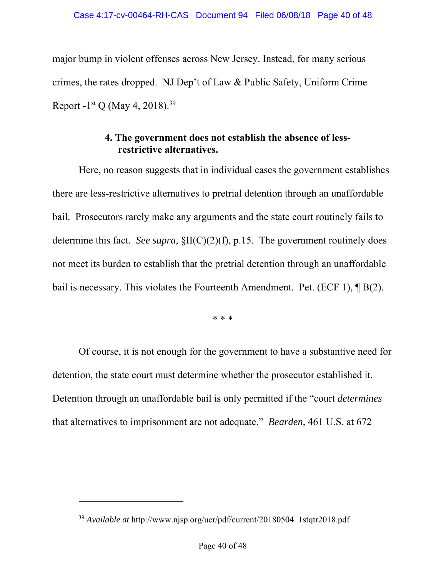major bump in violent offenses across New Jersey. Instead, for many serious crimes, the rates dropped. NJ Dep't of Law & Public Safety, Uniform Crime Report -1<sup>st</sup> Q (May 4, 2018).<sup>39</sup>

# **4. The government does not establish the absence of lessrestrictive alternatives.**

Here, no reason suggests that in individual cases the government establishes there are less-restrictive alternatives to pretrial detention through an unaffordable bail. Prosecutors rarely make any arguments and the state court routinely fails to determine this fact. *See supra,* §II(C)(2)(f), p.15. The government routinely does not meet its burden to establish that the pretrial detention through an unaffordable bail is necessary. This violates the Fourteenth Amendment. Pet. (ECF 1),  $\P$ B(2).

\* \* \*

Of course, it is not enough for the government to have a substantive need for detention, the state court must determine whether the prosecutor established it. Detention through an unaffordable bail is only permitted if the "court *determines* that alternatives to imprisonment are not adequate." *Bearden*, 461 U.S. at 672

<sup>39</sup> *Available at* http://www.njsp.org/ucr/pdf/current/20180504\_1stqtr2018.pdf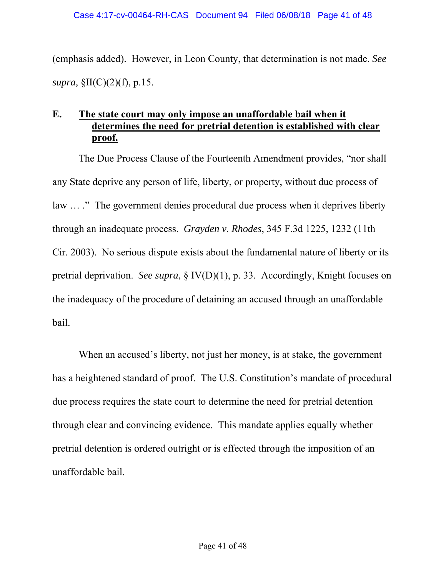(emphasis added). However, in Leon County, that determination is not made. *See supra,* §II(C)(2)(f), p.15.

# **E. The state court may only impose an unaffordable bail when it determines the need for pretrial detention is established with clear proof.**

The Due Process Clause of the Fourteenth Amendment provides, "nor shall any State deprive any person of life, liberty, or property, without due process of law ... ." The government denies procedural due process when it deprives liberty through an inadequate process. *Grayden v. Rhodes*, 345 F.3d 1225, 1232 (11th Cir. 2003). No serious dispute exists about the fundamental nature of liberty or its pretrial deprivation. *See supra*, § IV(D)(1), p. 33. Accordingly, Knight focuses on the inadequacy of the procedure of detaining an accused through an unaffordable bail.

When an accused's liberty, not just her money, is at stake, the government has a heightened standard of proof. The U.S. Constitution's mandate of procedural due process requires the state court to determine the need for pretrial detention through clear and convincing evidence. This mandate applies equally whether pretrial detention is ordered outright or is effected through the imposition of an unaffordable bail.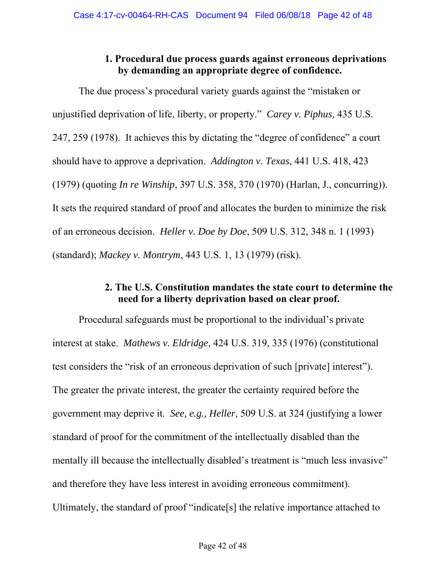# **1. Procedural due process guards against erroneous deprivations by demanding an appropriate degree of confidence.**

The due process's procedural variety guards against the "mistaken or unjustified deprivation of life, liberty, or property." *Carey v. Piphus,* 435 U.S. 247, 259 (1978). It achieves this by dictating the "degree of confidence" a court should have to approve a deprivation. *Addington v. Texas*, 441 U.S. 418, 423 (1979) (quoting *In re Winship*, 397 U.S. 358, 370 (1970) (Harlan, J., concurring)). It sets the required standard of proof and allocates the burden to minimize the risk of an erroneous decision. *Heller v. Doe by Doe*, 509 U.S. 312, 348 n. 1 (1993) (standard); *Mackey v. Montrym*, 443 U.S. 1, 13 (1979) (risk).

# **2. The U.S. Constitution mandates the state court to determine the need for a liberty deprivation based on clear proof.**

Procedural safeguards must be proportional to the individual's private interest at stake. *Mathews v. Eldridge*, 424 U.S. 319, 335 (1976) (constitutional test considers the "risk of an erroneous deprivation of such [private] interest"). The greater the private interest, the greater the certainty required before the government may deprive it. *See, e.g., Heller*, 509 U.S. at 324 (justifying a lower standard of proof for the commitment of the intellectually disabled than the mentally ill because the intellectually disabled's treatment is "much less invasive" and therefore they have less interest in avoiding erroneous commitment). Ultimately, the standard of proof "indicate[s] the relative importance attached to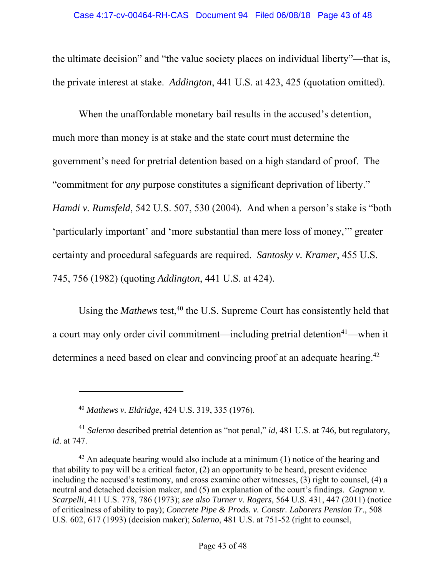the ultimate decision" and "the value society places on individual liberty"—that is, the private interest at stake. *Addington*, 441 U.S. at 423, 425 (quotation omitted).

When the unaffordable monetary bail results in the accused's detention, much more than money is at stake and the state court must determine the government's need for pretrial detention based on a high standard of proof. The "commitment for *any* purpose constitutes a significant deprivation of liberty." *Hamdi v. Rumsfeld*, 542 U.S. 507, 530 (2004). And when a person's stake is "both 'particularly important' and 'more substantial than mere loss of money,'" greater certainty and procedural safeguards are required. *Santosky v. Kramer*, 455 U.S. 745, 756 (1982) (quoting *Addington*, 441 U.S. at 424).

Using the *Mathews* test,<sup>40</sup> the U.S. Supreme Court has consistently held that a court may only order civil commitment—including pretrial detention<sup>41</sup>—when it determines a need based on clear and convincing proof at an adequate hearing.<sup>42</sup>

l

<sup>40</sup> *Mathews v. Eldridge*, 424 U.S. 319, 335 (1976).

<sup>41</sup> *Salerno* described pretrial detention as "not penal," *id*, 481 U.S. at 746, but regulatory, *id*. at 747.

 $42$  An adequate hearing would also include at a minimum (1) notice of the hearing and that ability to pay will be a critical factor, (2) an opportunity to be heard, present evidence including the accused's testimony, and cross examine other witnesses, (3) right to counsel, (4) a neutral and detached decision maker, and (5) an explanation of the court's findings. *Gagnon v. Scarpelli*, 411 U.S. 778, 786 (1973); *see also Turner v. Rogers*, 564 U.S. 431, 447 (2011) (notice of criticalness of ability to pay); *Concrete Pipe & Prods. v. Constr. Laborers Pension Tr*., 508 U.S. 602, 617 (1993) (decision maker); *Salerno*, 481 U.S. at 751-52 (right to counsel,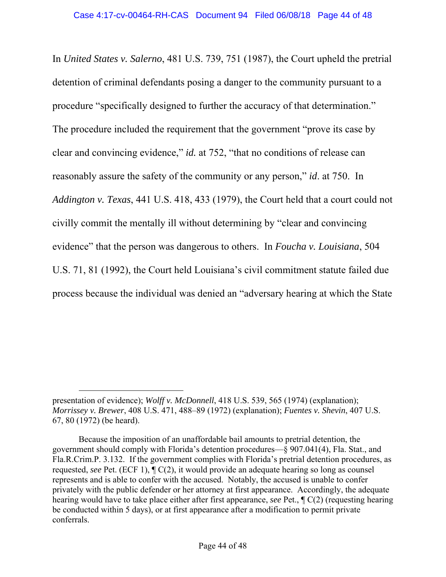In *United States v. Salerno*, 481 U.S. 739, 751 (1987), the Court upheld the pretrial detention of criminal defendants posing a danger to the community pursuant to a procedure "specifically designed to further the accuracy of that determination." The procedure included the requirement that the government "prove its case by clear and convincing evidence," *id.* at 752, "that no conditions of release can reasonably assure the safety of the community or any person," *id*. at 750. In *Addington v. Texas*, 441 U.S. 418, 433 (1979), the Court held that a court could not civilly commit the mentally ill without determining by "clear and convincing evidence" that the person was dangerous to others. In *Foucha v. Louisiana*, 504 U.S. 71, 81 (1992), the Court held Louisiana's civil commitment statute failed due process because the individual was denied an "adversary hearing at which the State

presentation of evidence); *Wolff v. McDonnell*, 418 U.S. 539, 565 (1974) (explanation); *Morrissey v. Brewer*, 408 U.S. 471, 488–89 (1972) (explanation); *Fuentes v. Shevin*, 407 U.S. 67, 80 (1972) (be heard).

Because the imposition of an unaffordable bail amounts to pretrial detention, the government should comply with Florida's detention procedures—§ 907.041(4), Fla. Stat., and Fla.R.Crim.P. 3.132. If the government complies with Florida's pretrial detention procedures, as requested, *see* Pet. (ECF 1), ¶ C(2), it would provide an adequate hearing so long as counsel represents and is able to confer with the accused. Notably, the accused is unable to confer privately with the public defender or her attorney at first appearance. Accordingly, the adequate hearing would have to take place either after first appearance, *see* Pet., ¶ C(2) (requesting hearing be conducted within 5 days), or at first appearance after a modification to permit private conferrals.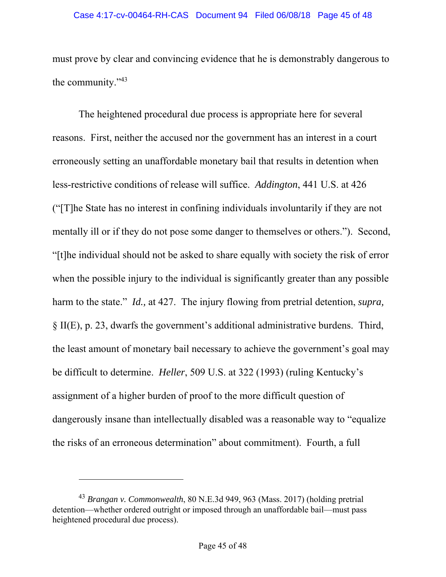#### Case 4:17-cv-00464-RH-CAS Document 94 Filed 06/08/18 Page 45 of 48

must prove by clear and convincing evidence that he is demonstrably dangerous to the community."43

The heightened procedural due process is appropriate here for several reasons. First, neither the accused nor the government has an interest in a court erroneously setting an unaffordable monetary bail that results in detention when less-restrictive conditions of release will suffice. *Addington*, 441 U.S. at 426 ("[T]he State has no interest in confining individuals involuntarily if they are not mentally ill or if they do not pose some danger to themselves or others."). Second, "[t]he individual should not be asked to share equally with society the risk of error when the possible injury to the individual is significantly greater than any possible harm to the state." *Id.*, at 427. The injury flowing from pretrial detention, *supra*, § II(E), p. 23, dwarfs the government's additional administrative burdens. Third, the least amount of monetary bail necessary to achieve the government's goal may be difficult to determine. *Heller*, 509 U.S. at 322 (1993) (ruling Kentucky's assignment of a higher burden of proof to the more difficult question of dangerously insane than intellectually disabled was a reasonable way to "equalize the risks of an erroneous determination" about commitment). Fourth, a full

<sup>43</sup> *Brangan v. Commonwealth*, 80 N.E.3d 949, 963 (Mass. 2017) (holding pretrial detention—whether ordered outright or imposed through an unaffordable bail—must pass heightened procedural due process).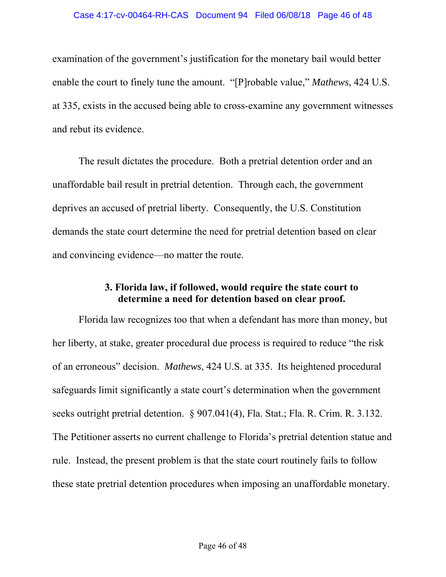examination of the government's justification for the monetary bail would better enable the court to finely tune the amount. "[P]robable value," *Mathews*, 424 U.S. at 335, exists in the accused being able to cross-examine any government witnesses and rebut its evidence.

The result dictates the procedure. Both a pretrial detention order and an unaffordable bail result in pretrial detention. Through each, the government deprives an accused of pretrial liberty. Consequently, the U.S. Constitution demands the state court determine the need for pretrial detention based on clear and convincing evidence—no matter the route.

## **3. Florida law, if followed, would require the state court to determine a need for detention based on clear proof.**

Florida law recognizes too that when a defendant has more than money, but her liberty, at stake, greater procedural due process is required to reduce "the risk of an erroneous" decision. *Mathews*, 424 U.S. at 335. Its heightened procedural safeguards limit significantly a state court's determination when the government seeks outright pretrial detention. § 907.041(4), Fla. Stat.; Fla. R. Crim. R. 3.132. The Petitioner asserts no current challenge to Florida's pretrial detention statue and rule. Instead, the present problem is that the state court routinely fails to follow these state pretrial detention procedures when imposing an unaffordable monetary.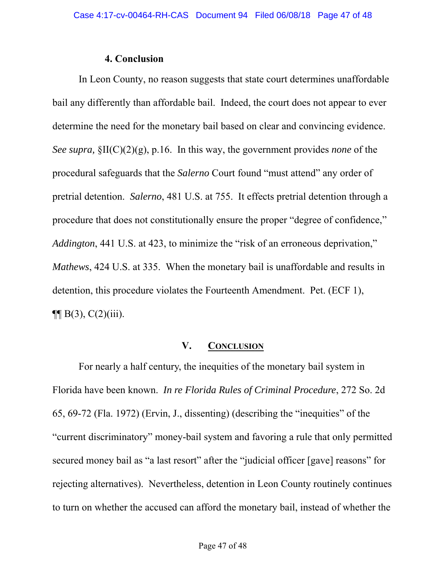### **4. Conclusion**

In Leon County, no reason suggests that state court determines unaffordable bail any differently than affordable bail. Indeed, the court does not appear to ever determine the need for the monetary bail based on clear and convincing evidence. *See supra,* §II(C)(2)(g), p.16. In this way, the government provides *none* of the procedural safeguards that the *Salerno* Court found "must attend" any order of pretrial detention. *Salerno*, 481 U.S. at 755. It effects pretrial detention through a procedure that does not constitutionally ensure the proper "degree of confidence," *Addington*, 441 U.S. at 423, to minimize the "risk of an erroneous deprivation," *Mathews*, 424 U.S. at 335. When the monetary bail is unaffordable and results in detention, this procedure violates the Fourteenth Amendment. Pet. (ECF 1),  $\P\P$  B(3), C(2)(iii).

### **V. CONCLUSION**

For nearly a half century, the inequities of the monetary bail system in Florida have been known. *In re Florida Rules of Criminal Procedure*, 272 So. 2d 65, 69-72 (Fla. 1972) (Ervin, J., dissenting) (describing the "inequities" of the "current discriminatory" money-bail system and favoring a rule that only permitted secured money bail as "a last resort" after the "judicial officer [gave] reasons" for rejecting alternatives). Nevertheless, detention in Leon County routinely continues to turn on whether the accused can afford the monetary bail, instead of whether the